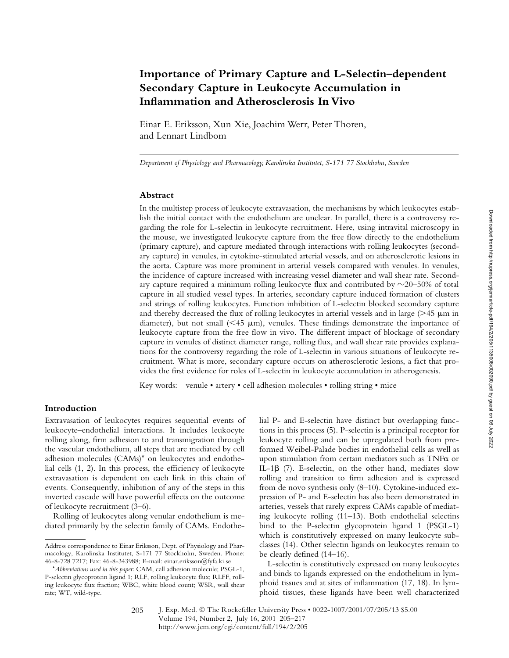# **Importance of Primary Capture and L-Selectin–dependent Secondary Capture in Leukocyte Accumulation in Inflammation and Atherosclerosis In Vivo**

Einar E. Eriksson, Xun Xie, Joachim Werr, Peter Thoren, and Lennart Lindbom

*Department of Physiology and Pharmacology, Karolinska Institutet, S-171 77 Stockholm, Sweden*

## **Abstract**

In the multistep process of leukocyte extravasation, the mechanisms by which leukocytes establish the initial contact with the endothelium are unclear. In parallel, there is a controversy regarding the role for L-selectin in leukocyte recruitment. Here, using intravital microscopy in the mouse, we investigated leukocyte capture from the free flow directly to the endothelium (primary capture), and capture mediated through interactions with rolling leukocytes (secondary capture) in venules, in cytokine-stimulated arterial vessels, and on atherosclerotic lesions in the aorta. Capture was more prominent in arterial vessels compared with venules. In venules, the incidence of capture increased with increasing vessel diameter and wall shear rate. Secondary capture required a minimum rolling leukocyte flux and contributed by  $\sim$ 20–50% of total capture in all studied vessel types. In arteries, secondary capture induced formation of clusters and strings of rolling leukocytes. Function inhibition of L-selectin blocked secondary capture and thereby decreased the flux of rolling leukocytes in arterial vessels and in large ( $>$ 45  $\mu$ m in diameter), but not small ( $\leq 45 \mu m$ ), venules. These findings demonstrate the importance of leukocyte capture from the free flow in vivo. The different impact of blockage of secondary capture in venules of distinct diameter range, rolling flux, and wall shear rate provides explanations for the controversy regarding the role of L-selectin in various situations of leukocyte recruitment. What is more, secondary capture occurs on atherosclerotic lesions, a fact that provides the first evidence for roles of L-selectin in leukocyte accumulation in atherogenesis.

Key words: venule • artery • cell adhesion molecules • rolling string • mice

## **Introduction**

Extravasation of leukocytes requires sequential events of leukocyte–endothelial interactions. It includes leukocyte rolling along, firm adhesion to and transmigration through the vascular endothelium, all steps that are mediated by cell adhesion molecules (CAMs)\* on leukocytes and endothelial cells (1, 2). In this process, the efficiency of leukocyte extravasation is dependent on each link in this chain of events. Consequently, inhibition of any of the steps in this inverted cascade will have powerful effects on the outcome of leukocyte recruitment (3–6).

Rolling of leukocytes along venular endothelium is mediated primarily by the selectin family of CAMs. Endothelial P- and E-selectin have distinct but overlapping functions in this process (5). P-selectin is a principal receptor for leukocyte rolling and can be upregulated both from preformed Weibel-Palade bodies in endothelial cells as well as upon stimulation from certain mediators such as  $TNF\alpha$  or IL-1 $\beta$  (7). E-selectin, on the other hand, mediates slow rolling and transition to firm adhesion and is expressed from de novo synthesis only (8–10). Cytokine-induced expression of P- and E-selectin has also been demonstrated in arteries, vessels that rarely express CAMs capable of mediating leukocyte rolling (11–13). Both endothelial selectins bind to the P-selectin glycoprotein ligand 1 (PSGL-1) which is constitutively expressed on many leukocyte subclasses (14). Other selectin ligands on leukocytes remain to be clearly defined (14–16).

L-selectin is constitutively expressed on many leukocytes and binds to ligands expressed on the endothelium in lymphoid tissues and at sites of inflammation (17, 18). In lymphoid tissues, these ligands have been well characterized

Address correspondence to Einar Eriksson, Dept. of Physiology and Pharmacology, Karolinska Institutet, S-171 77 Stockholm, Sweden. Phone: 46-8-728 7217; Fax: 46-8-343988; E-mail: einar.eriksson@fyfa.ki.se

<sup>\*</sup>*Abbreviations used in this paper:* CAM, cell adhesion molecule; PSGL-1, P-selectin glycoprotein ligand 1; RLF, rolling leukocyte flux; RLFF, rolling leukocyte flux fraction; WBC, white blood count; WSR, wall shear rate; WT, wild-type.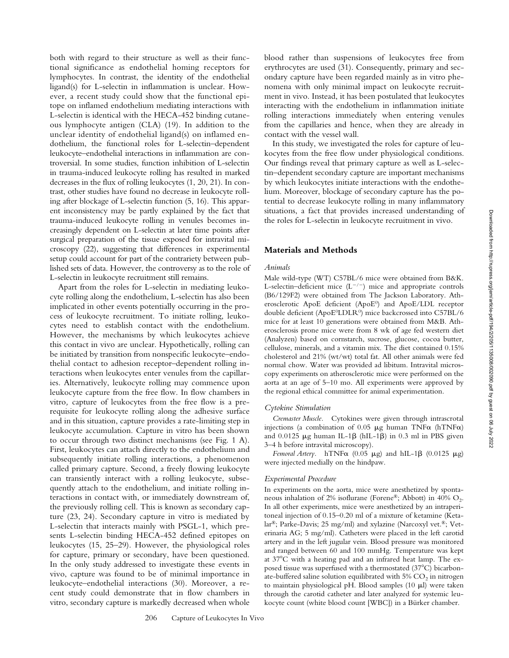both with regard to their structure as well as their functional significance as endothelial homing receptors for lymphocytes. In contrast, the identity of the endothelial ligand(s) for L-selectin in inflammation is unclear. However, a recent study could show that the functional epitope on inflamed endothelium mediating interactions with L-selectin is identical with the HECA-452 binding cutaneous lymphocyte antigen (CLA) (19). In addition to the unclear identity of endothelial ligand(s) on inflamed endothelium, the functional roles for L-selectin–dependent leukocyte–endothelial interactions in inflammation are controversial. In some studies, function inhibition of L-selectin in trauma-induced leukocyte rolling has resulted in marked decreases in the flux of rolling leukocytes (1, 20, 21). In contrast, other studies have found no decrease in leukocyte rolling after blockage of L-selectin function (5, 16). This apparent inconsistency may be partly explained by the fact that trauma-induced leukocyte rolling in venules becomes increasingly dependent on L-selectin at later time points after surgical preparation of the tissue exposed for intravital microscopy (22), suggesting that differences in experimental setup could account for part of the contrariety between published sets of data. However, the controversy as to the role of L-selectin in leukocyte recruitment still remains.

Apart from the roles for L-selectin in mediating leukocyte rolling along the endothelium, L-selectin has also been implicated in other events potentially occurring in the process of leukocyte recruitment. To initiate rolling, leukocytes need to establish contact with the endothelium. However, the mechanisms by which leukocytes achieve this contact in vivo are unclear. Hypothetically, rolling can be initiated by transition from nonspecific leukocyte–endothelial contact to adhesion receptor–dependent rolling interactions when leukocytes enter venules from the capillaries. Alternatively, leukocyte rolling may commence upon leukocyte capture from the free flow. In flow chambers in vitro*,* capture of leukocytes from the free flow is a prerequisite for leukocyte rolling along the adhesive surface and in this situation, capture provides a rate-limiting step in leukocyte accumulation. Capture in vitro has been shown to occur through two distinct mechanisms (see Fig. 1 A). First, leukocytes can attach directly to the endothelium and subsequently initiate rolling interactions, a phenomenon called primary capture. Second, a freely flowing leukocyte can transiently interact with a rolling leukocyte, subsequently attach to the endothelium, and initiate rolling interactions in contact with, or immediately downstream of, the previously rolling cell. This is known as secondary capture (23, 24). Secondary capture in vitro is mediated by L-selectin that interacts mainly with PSGL-1, which presents L-selectin binding HECA-452 defined epitopes on leukocytes (15, 25–29). However, the physiological roles for capture, primary or secondary, have been questioned. In the only study addressed to investigate these events in vivo, capture was found to be of minimal importance in leukocyte–endothelial interactions (30). Moreover, a recent study could demonstrate that in flow chambers in vitro, secondary capture is markedly decreased when whole

blood rather than suspensions of leukocytes free from erythrocytes are used (31). Consequently, primary and secondary capture have been regarded mainly as in vitro phenomena with only minimal impact on leukocyte recruitment in vivo. Instead, it has been postulated that leukocytes interacting with the endothelium in inflammation initiate rolling interactions immediately when entering venules from the capillaries and hence, when they are already in contact with the vessel wall.

In this study, we investigated the roles for capture of leukocytes from the free flow under physiological conditions. Our findings reveal that primary capture as well as L-selectin–dependent secondary capture are important mechanisms by which leukocytes initiate interactions with the endothelium. Moreover, blockage of secondary capture has the potential to decrease leukocyte rolling in many inflammatory situations, a fact that provides increased understanding of the roles for L-selectin in leukocyte recruitment in vivo.

## **Materials and Methods**

## *Animals*

Male wild-type (WT) C57BL/6 mice were obtained from B&K. L-selectin–deficient mice  $(L^{-/-})$  mice and appropriate controls (B6/129F2) were obtained from The Jackson Laboratory. Atherosclerotic ApoE deficient ( $ApoE<sup>0</sup>$ ) and  $ApoE/LDL$  receptor double deficient (ApoE<sup>0</sup>LDLR<sup>0</sup>) mice backcrossed into  $C57BL/6$ mice for at least 10 generations were obtained from M&B. Atherosclerosis prone mice were from 8 wk of age fed western diet (Analyzen) based on cornstarch, sucrose, glucose, cocoa butter, cellulose, minerals, and a vitamin mix. The diet contained 0.15% cholesterol and 21% (wt/wt) total fat. All other animals were fed normal chow. Water was provided ad libitum. Intravital microscopy experiments on atherosclerotic mice were performed on the aorta at an age of 5–10 mo. All experiments were approved by the regional ethical committee for animal experimentation.

## *Cytokine Stimulation*

*Cremaster Muscle.* Cytokines were given through intrascrotal injections (a combination of 0.05  $\mu$ g human TNF $\alpha$  (hTNF $\alpha$ ) and 0.0125  $\mu$ g human IL-1 $\beta$  (hIL-1 $\beta$ ) in 0.3 ml in PBS given 3–4 h before intravital microscopy).

*Femoral Artery.* hTNF $\alpha$  (0.05  $\mu$ g) and hIL-1 $\beta$  (0.0125  $\mu$ g) were injected medially on the hindpaw.

## *Experimental Procedure*

In experiments on the aorta, mice were anesthetized by spontaneous inhalation of 2% isoflurane (Forene®; Abbott) in 40%  $O_2$ . In all other experiments, mice were anesthetized by an intraperitoneal injection of 0.15–0.20 ml of a mixture of ketamine (Ketalar®; Parke-Davis; 25 mg/ml) and xylazine (Narcoxyl vet.®; Veterinaria AG; 5 mg/ml). Catheters were placed in the left carotid artery and in the left jugular vein. Blood pressure was monitored and ranged between 60 and 100 mmHg. Temperature was kept at  $37^{\circ}$ C with a heating pad and an infrared heat lamp. The exposed tissue was superfused with a thermostated  $(37^{\circ}C)$  bicarbonate-buffered saline solution equilibrated with  $5\%$  CO<sub>2</sub> in nitrogen to maintain physiological pH. Blood samples  $(10 \mu l)$  were taken through the carotid catheter and later analyzed for systemic leukocyte count (white blood count [WBC]) in a Bürker chamber.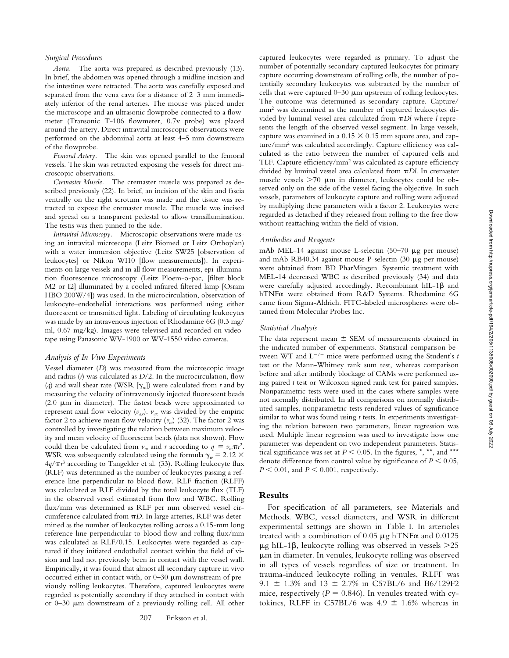#### *Surgical Procedures*

*Aorta.* The aorta was prepared as described previously (13). In brief, the abdomen was opened through a midline incision and the intestines were retracted. The aorta was carefully exposed and separated from the vena cava for a distance of 2–3 mm immediately inferior of the renal arteries. The mouse was placed under the microscope and an ultrasonic flowprobe connected to a flowmeter (Transonic T-106 flowmeter, 0.7v probe) was placed around the artery. Direct intravital microscopic observations were performed on the abdominal aorta at least 4–5 mm downstream of the flowprobe.

*Femoral Artery.* The skin was opened parallel to the femoral vessels. The skin was retracted exposing the vessels for direct microscopic observations.

*Cremaster Muscle.* The cremaster muscle was prepared as described previously (22). In brief, an incision of the skin and fascia ventrally on the right scrotum was made and the tissue was retracted to expose the cremaster muscle. The muscle was incised and spread on a transparent pedestal to allow transillumination. The testis was then pinned to the side.

*Intravital Microscopy.* Microscopic observations were made using an intravital microscope (Leitz Biomed or Leitz Orthoplan) with a water immersion objective (Leitz SW25 [observation of leukocytes] or Nikon WI10 [flow measurements]). In experiments on large vessels and in all flow measurements, epi-illumination fluorescence microscopy (Leitz Ploem-o-pac, [filter block M2 or I2] illuminated by a cooled infrared filtered lamp [Osram HBO 200W/4]) was used. In the microcirculation, observation of leukocyte–endothelial interactions was performed using either fluorescent or transmitted light. Labeling of circulating leukocytes was made by an intravenous injection of Rhodamine 6G (0.3 mg/ ml, 0.67 mg/kg). Images were televised and recorded on videotape using Panasonic WV-1900 or WV-1550 video cameras.

#### *Analysis of In Vivo Experiments*

Vessel diameter (*D*) was measured from the microscopic image and radius (*r*) was calculated as *D*/2. In the microcirculation, flow (*q*) and wall shear rate (WSR  $[\gamma_w]$ ) were calculated from *r* and by measuring the velocity of intravenously injected fluorescent beads (2.0  $\mu$ m in diameter). The fastest beads were approximated to represent axial flow velocity  $(v_{ax})$ .  $v_{ax}$  was divided by the empiric factor 2 to achieve mean flow velocity  $(v_m)$  (32). The factor 2 was controlled by investigating the relation between maximum velocity and mean velocity of fluorescent beads (data not shown). Flow could then be calculated from  $v_m$  and *r* according to  $q = v_m \pi r^2$ . WSR was subsequently calculated using the formula  $\gamma_w = 2.12 \times$ 4*q*/*r* 3 according to Tangelder et al. (33). Rolling leukocyte flux (RLF) was determined as the number of leukocytes passing a reference line perpendicular to blood flow. RLF fraction (RLFF) was calculated as RLF divided by the total leukocyte flux (TLF) in the observed vessel estimated from flow and WBC. Rolling flux/mm was determined as RLF per mm observed vessel circumference calculated from  $\pi D$ . In large arteries, RLF was determined as the number of leukocytes rolling across a 0.15-mm long reference line perpendicular to blood flow and rolling flux/mm was calculated as RLF/0.15. Leukocytes were regarded as captured if they initiated endothelial contact within the field of vision and had not previously been in contact with the vessel wall. Empirically, it was found that almost all secondary capture in vivo occurred either in contact with, or  $0-30 \mu m$  downstream of previously rolling leukocytes. Therefore, captured leukocytes were regarded as potentially secondary if they attached in contact with or  $0-30$   $\mu$ m downstream of a previously rolling cell. All other

captured leukocytes were regarded as primary. To adjust the number of potentially secondary captured leukocytes for primary capture occurring downstream of rolling cells, the number of potentially secondary leukocytes was subtracted by the number of cells that were captured  $0-30 \mu m$  upstream of rolling leukocytes. The outcome was determined as secondary capture. Capture/ mm2 was determined as the number of captured leukocytes divided by luminal vessel area calculated from  $\pi D l$  where *l* represents the length of the observed vessel segment. In large vessels, capture was examined in a  $0.15 \times 0.15$  mm square area, and capture/mm2 was calculated accordingly. Capture efficiency was calculated as the ratio between the number of captured cells and TLF. Capture efficiency/mm2 was calculated as capture efficiency divided by luminal vessel area calculated from  $\pi D l$ . In cremaster muscle vessels  $>70 \mu m$  in diameter, leukocytes could be observed only on the side of the vessel facing the objective. In such vessels, parameters of leukocyte capture and rolling were adjusted by multiplying these parameters with a factor 2. Leukocytes were regarded as detached if they released from rolling to the free flow without reattaching within the field of vision.

#### *Antibodies and Reagents*

mAb MEL-14 against mouse L-selectin  $(50-70 \mu g$  per mouse) and mAb RB40.34 against mouse P-selectin (30  $\mu$ g per mouse) were obtained from BD PharMingen. Systemic treatment with MEL-14 decreased WBC as described previously (34) and data were carefully adjusted accordingly. Recombinant  $hIL-1\beta$  and hTNFa were obtained from R&D Systems. Rhodamine 6G came from Sigma-Aldrich. FITC-labeled microspheres were obtained from Molecular Probes Inc.

#### *Statistical Analysis*

The data represent mean  $\pm$  SEM of measurements obtained in the indicated number of experiments. Statistical comparison between WT and  $L^{-/-}$  mice were performed using the Student's  $t$ test or the Mann-Whitney rank sum test, whereas comparison before and after antibody blockage of CAMs were performed using paired *t* test or Wilcoxon signed rank test for paired samples. Nonparametric tests were used in the cases where samples were not normally distributed. In all comparisons on normally distributed samples, nonparametric tests rendered values of significance similar to what was found using *t* tests. In experiments investigating the relation between two parameters, linear regression was used. Multiple linear regression was used to investigate how one parameter was dependent on two independent parameters. Statistical significance was set at  $P \le 0.05$ . In the figures, \*, \*\*, and \*\*\* denote difference from control value by significance of  $P \leq 0.05$ ,  $P \leq 0.01$ , and  $P \leq 0.001$ , respectively.

#### **Results**

For specification of all parameters, see Materials and Methods. WBC, vessel diameters, and WSR in different experimental settings are shown in Table I. In arterioles treated with a combination of 0.05  $\mu$ g hTNF $\alpha$  and 0.0125  $\mu$ g hIL-1 $\beta$ , leukocyte rolling was observed in vessels  $>$ 25 m in diameter. In venules, leukocyte rolling was observed in all types of vessels regardless of size or treatment. In trauma-induced leukocyte rolling in venules, RLFF was 9.1  $\pm$  1.3% and 13  $\pm$  2.7% in C57BL/6 and B6/129F2 mice, respectively ( $P = 0.846$ ). In venules treated with cytokines, RLFF in C57BL/6 was  $4.9 \pm 1.6\%$  whereas in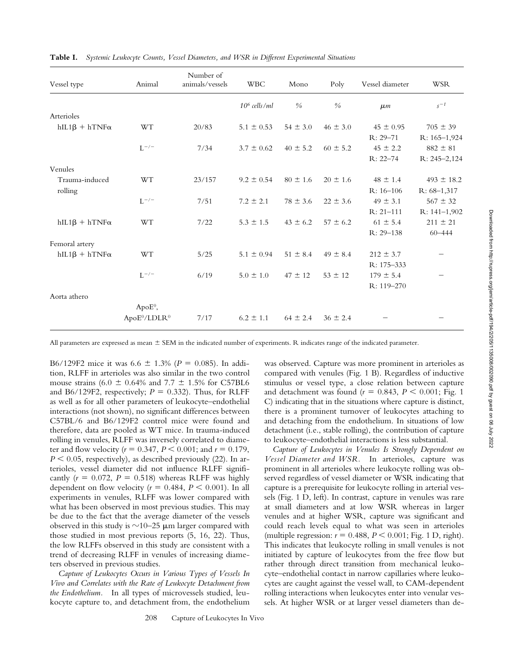| Vessel type               | Animal                               | Number of<br>animals/vessels | <b>WBC</b>     | Mono          | Poly          | Vessel diameter | <b>WSR</b>       |  |
|---------------------------|--------------------------------------|------------------------------|----------------|---------------|---------------|-----------------|------------------|--|
|                           |                                      |                              | $106$ cells/ml | $\frac{0}{0}$ | $\frac{0}{0}$ | $\mu$ m         | $s^{-1}$         |  |
| Arterioles                |                                      |                              |                |               |               |                 |                  |  |
| $hIL1\beta + hTNF\alpha$  | <b>WT</b>                            | 20/83                        | $5.1 \pm 0.53$ | $54 \pm 3.0$  | $46 \pm 3.0$  | $45 \pm 0.95$   | $705 \pm 39$     |  |
|                           |                                      |                              |                |               |               | $R: 29 - 71$    | R: 165-1,924     |  |
|                           | $L^{-/-}$                            | 7/34                         | $3.7 \pm 0.62$ | $40 \pm 5.2$  | $60 \pm 5.2$  | $45 \pm 2.2$    | $882 \pm 81$     |  |
|                           |                                      |                              |                |               |               | $R: 22 - 74$    | $R: 245 - 2,124$ |  |
| Venules                   |                                      |                              |                |               |               |                 |                  |  |
| Trauma-induced<br>rolling | <b>WT</b>                            | 23/157                       | $9.2 \pm 0.54$ | $80 \pm 1.6$  | $20 \pm 1.6$  | $48 \pm 1.4$    | $493 \pm 18.2$   |  |
|                           |                                      |                              |                |               |               | $R: 16-106$     | $R: 68-1,317$    |  |
|                           | $L^{-/-}$                            | 7/51                         | $7.2 \pm 2.1$  | $78 \pm 3.6$  | $22 \pm 3.6$  | $49 \pm 3.1$    | $567 \pm 32$     |  |
|                           |                                      |                              |                |               |               | $R: 21 - 111$   | $R: 141-1,902$   |  |
| $hIL1\beta + hTNF\alpha$  | <b>WT</b>                            | 7/22                         | $5.3 \pm 1.5$  | $43 \pm 6.2$  | $57 \pm 6.2$  | $61 \pm 5.4$    | $211 \pm 21$     |  |
|                           |                                      |                              |                |               |               | R: 29-138       | $60 - 444$       |  |
| Femoral artery            |                                      |                              |                |               |               |                 |                  |  |
| $hIL1\beta + hTNF\alpha$  | WT                                   | 5/25                         | $5.1 \pm 0.94$ | $51 \pm 8.4$  | $49 \pm 8.4$  | $212 \pm 3.7$   |                  |  |
|                           |                                      |                              |                |               |               | R: 175-333      |                  |  |
|                           | $L^{-/-}$                            | 6/19                         | $5.0 \pm 1.0$  | $47 \pm 12$   | $53 \pm 12$   | $179 \pm 5.4$   |                  |  |
|                           |                                      |                              |                |               |               | R: 119-270      |                  |  |
| Aorta athero              |                                      |                              |                |               |               |                 |                  |  |
|                           | ApoE <sup>0</sup> ,                  |                              |                |               |               |                 |                  |  |
|                           | ApoE <sup>0</sup> /LDLR <sup>0</sup> | 7/17                         | $6.2 \pm 1.1$  | $64 \pm 2.4$  | $36 \pm 2.4$  |                 |                  |  |

**Table I.** *Systemic Leukocyte Counts, Vessel Diameters, and WSR in Different Experimental Situations*

All parameters are expressed as mean SEM in the indicated number of experiments. R indicates range of the indicated parameter.

B6/129F2 mice it was  $6.6 \pm 1.3\%$  ( $P = 0.085$ ). In addition, RLFF in arterioles was also similar in the two control mouse strains (6.0  $\pm$  0.64% and 7.7  $\pm$  1.5% for C57BL6 and B6/129F2, respectively;  $P = 0.332$ ). Thus, for RLFF as well as for all other parameters of leukocyte–endothelial interactions (not shown), no significant differences between C57BL/6 and B6/129F2 control mice were found and therefore, data are pooled as WT mice. In trauma-induced rolling in venules, RLFF was inversely correlated to diameter and flow velocity ( $r = 0.347$ ,  $P < 0.001$ ; and  $r = 0.179$ ,  $P \le 0.05$ , respectively), as described previously (22). In arterioles, vessel diameter did not influence RLFF significantly  $(r = 0.072, P = 0.518)$  whereas RLFF was highly dependent on flow velocity ( $r = 0.484$ ,  $P < 0.001$ ). In all experiments in venules, RLFF was lower compared with what has been observed in most previous studies. This may be due to the fact that the average diameter of the vessels observed in this study is  $\sim$ 10–25 µm larger compared with those studied in most previous reports (5, 16, 22). Thus, the low RLFFs observed in this study are consistent with a trend of decreasing RLFF in venules of increasing diameters observed in previous studies.

*Capture of Leukocytes Occurs in Various Types of Vessels In Vivo and Correlates with the Rate of Leukocyte Detachment from the Endothelium.* In all types of microvessels studied, leukocyte capture to, and detachment from, the endothelium

was observed. Capture was more prominent in arterioles as compared with venules (Fig. 1 B). Regardless of inductive stimulus or vessel type, a close relation between capture and detachment was found  $(r = 0.843, P < 0.001; \text{ Fig. 1})$ C) indicating that in the situations where capture is distinct, there is a prominent turnover of leukocytes attaching to and detaching from the endothelium. In situations of low detachment (i.e., stable rolling), the contribution of capture to leukocyte–endothelial interactions is less substantial.

*Capture of Leukocytes in Venules Is Strongly Dependent on Vessel Diameter and WSR.* In arterioles, capture was prominent in all arterioles where leukocyte rolling was observed regardless of vessel diameter or WSR indicating that capture is a prerequisite for leukocyte rolling in arterial vessels (Fig. 1 D, left). In contrast, capture in venules was rare at small diameters and at low WSR whereas in larger venules and at higher WSR, capture was significant and could reach levels equal to what was seen in arterioles (multiple regression:  $r = 0.488$ ,  $P < 0.001$ ; Fig. 1 D, right). This indicates that leukocyte rolling in small venules is not initiated by capture of leukocytes from the free flow but rather through direct transition from mechanical leukocyte–endothelial contact in narrow capillaries where leukocytes are caught against the vessel wall, to CAM-dependent rolling interactions when leukocytes enter into venular vessels. At higher WSR or at larger vessel diameters than de-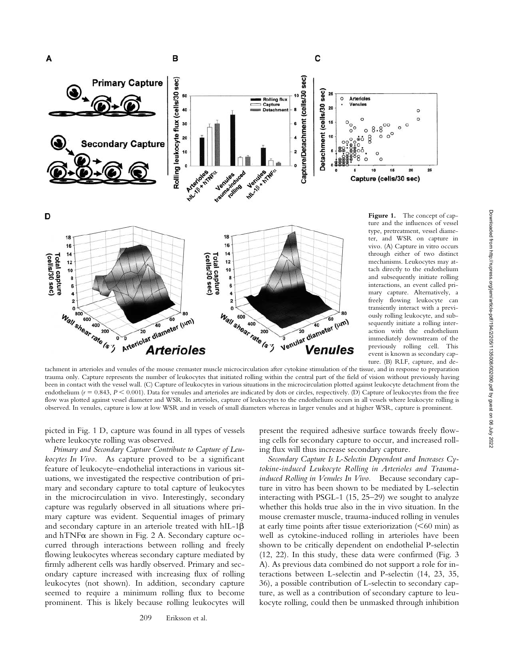

tachment in arterioles and venules of the mouse cremaster muscle microcirculation after cytokine stimulation of the tissue, and in response to preparation trauma only. Capture represents the number of leukocytes that initiated rolling within the central part of the field of vision without previously having been in contact with the vessel wall. (C) Capture of leukocytes in various situations in the microcirculation plotted against leukocyte detachment from the endothelium ( $r = 0.843$ ,  $P < 0.001$ ). Data for venules and arterioles are indicated by dots or circles, respectively. (D) Capture of leukocytes from the free flow was plotted against vessel diameter and WSR. In arterioles, capture of leukocytes to the endothelium occurs in all vessels where leukocyte rolling is observed. In venules, capture is low at low WSR and in vessels of small diameters whereas in larger venules and at higher WSR, capture is prominent.

picted in Fig. 1 D, capture was found in all types of vessels where leukocyte rolling was observed.

*Primary and Secondary Capture Contribute to Capture of Leukocytes In Vivo.* As capture proved to be a significant feature of leukocyte–endothelial interactions in various situations, we investigated the respective contribution of primary and secondary capture to total capture of leukocytes in the microcirculation in vivo*.* Interestingly, secondary capture was regularly observed in all situations where primary capture was evident. Sequential images of primary and secondary capture in an arteriole treated with  $hIL-1\beta$ and hTNF $\alpha$  are shown in Fig. 2 A. Secondary capture occurred through interactions between rolling and freely flowing leukocytes whereas secondary capture mediated by firmly adherent cells was hardly observed. Primary and secondary capture increased with increasing flux of rolling leukocytes (not shown). In addition, secondary capture seemed to require a minimum rolling flux to become prominent. This is likely because rolling leukocytes will

present the required adhesive surface towards freely flowing cells for secondary capture to occur, and increased rolling flux will thus increase secondary capture.

*Secondary Capture Is L-Selectin Dependent and Increases Cytokine-induced Leukocyte Rolling in Arterioles and Traumainduced Rolling in Venules In Vivo.* Because secondary capture in vitro has been shown to be mediated by L-selectin interacting with PSGL-1 (15, 25–29) we sought to analyze whether this holds true also in the in vivo situation. In the mouse cremaster muscle, trauma-induced rolling in venules at early time points after tissue exteriorization  $( $60 \text{ min}$ )$  as well as cytokine-induced rolling in arterioles have been shown to be critically dependent on endothelial P-selectin (12, 22). In this study, these data were confirmed (Fig. 3 A). As previous data combined do not support a role for interactions between L-selectin and P-selectin (14, 23, 35, 36), a possible contribution of L-selectin to secondary capture, as well as a contribution of secondary capture to leukocyte rolling, could then be unmasked through inhibition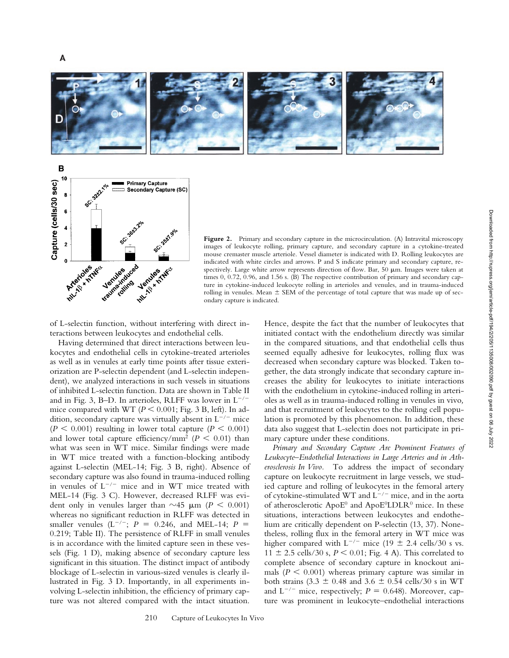



**Figure 2.** Primary and secondary capture in the microcirculation. (A) Intravital microscopy images of leukocyte rolling, primary capture, and secondary capture in a cytokine-treated mouse cremaster muscle arteriole. Vessel diameter is indicated with D. Rolling leukocytes are indicated with white circles and arrows. P and S indicate primary and secondary capture, respectively. Large white arrow represents direction of flow. Bar, 50  $\mu$ m. Images were taken at times 0, 0.72, 0.96, and 1.56 s. (B) The respective contribution of primary and secondary capture in cytokine-induced leukocyte rolling in arterioles and venules, and in trauma-induced rolling in venules. Mean  $\pm$  SEM of the percentage of total capture that was made up of secondary capture is indicated.

of L-selectin function, without interfering with direct interactions between leukocytes and endothelial cells.

Having determined that direct interactions between leukocytes and endothelial cells in cytokine-treated arterioles as well as in venules at early time points after tissue exteriorization are P-selectin dependent (and L-selectin independent), we analyzed interactions in such vessels in situations of inhibited L-selectin function. Data are shown in Table II and in Fig. 3, B-D. In arterioles, RLFF was lower in  $L^{-/-}$ mice compared with WT ( $P \le 0.001$ ; Fig. 3 B, left). In addition, secondary capture was virtually absent in  $L^{-/-}$  mice  $(P \leq 0.001)$  resulting in lower total capture  $(P \leq 0.001)$ and lower total capture efficiency/mm<sup>2</sup> ( $P < 0.01$ ) than what was seen in WT mice. Similar findings were made in WT mice treated with a function-blocking antibody against L-selectin (MEL-14; Fig. 3 B, right). Absence of secondary capture was also found in trauma-induced rolling in venules of  $L^{-/-}$  mice and in WT mice treated with MEL-14 (Fig. 3 C). However, decreased RLFF was evident only in venules larger than  $\sim$ 45  $\mu$ m (*P* < 0.001) whereas no significant reduction in RLFF was detected in smaller venules ( $L^{-/-}$ ; *P* = 0.246, and MEL-14; *P* = 0.219; Table II). The persistence of RLFF in small venules is in accordance with the limited capture seen in these vessels (Fig. 1 D), making absence of secondary capture less significant in this situation. The distinct impact of antibody blockage of L-selectin in various-sized venules is clearly illustrated in Fig. 3 D. Importantly, in all experiments involving L-selectin inhibition, the efficiency of primary capture was not altered compared with the intact situation.

Hence, despite the fact that the number of leukocytes that initiated contact with the endothelium directly was similar in the compared situations, and that endothelial cells thus seemed equally adhesive for leukocytes, rolling flux was decreased when secondary capture was blocked. Taken together, the data strongly indicate that secondary capture increases the ability for leukocytes to initiate interactions with the endothelium in cytokine-induced rolling in arterioles as well as in trauma-induced rolling in venules in vivo*,* and that recruitment of leukocytes to the rolling cell population is promoted by this phenomenon. In addition, these data also suggest that L-selectin does not participate in primary capture under these conditions.

*Primary and Secondary Capture Are Prominent Features of Leukocyte–Endothelial Interactions in Large Arteries and in Atherosclerosis In Vivo.* To address the impact of secondary capture on leukocyte recruitment in large vessels, we studied capture and rolling of leukocytes in the femoral artery of cytokine-stimulated WT and  $L^{-/-}$  mice, and in the aorta of atherosclerotic Apo $E^0$  and Apo $E^0$ LDLR<sup>0</sup> mice. In these situations, interactions between leukocytes and endothelium are critically dependent on P-selectin (13, 37). Nonetheless, rolling flux in the femoral artery in WT mice was higher compared with  $L^{-/-}$  mice (19  $\pm$  2.4 cells/30 s vs.  $11 \pm 2.5$  cells/30 s,  $P \le 0.01$ ; Fig. 4 A). This correlated to complete absence of secondary capture in knockout animals  $(P \leq 0.001)$  whereas primary capture was similar in both strains (3.3  $\pm$  0.48 and 3.6  $\pm$  0.54 cells/30 s in WT and  $L^{-/-}$  mice, respectively;  $P = 0.648$ ). Moreover, capture was prominent in leukocyte–endothelial interactions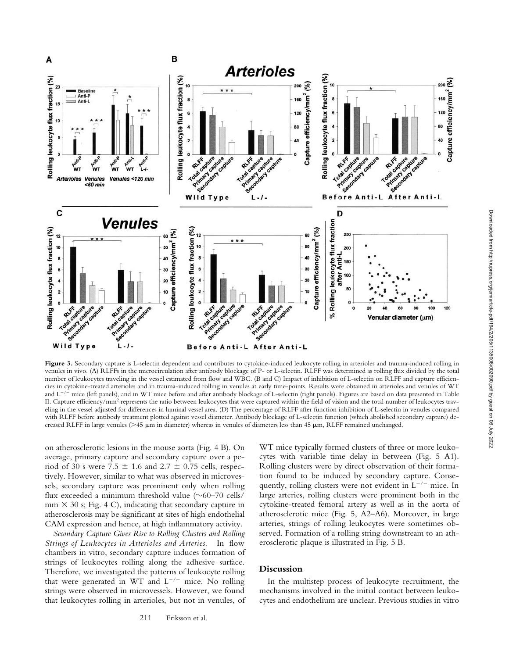

Figure 3. Secondary capture is L-selectin dependent and contributes to cytokine-induced leukocyte rolling in arterioles and trauma-induced rolling in venules in vivo. (A) RLFFs in the microcirculation after antibody blockage of P- or L-selectin. RLFF was determined as rolling flux divided by the total number of leukocytes traveling in the vessel estimated from flow and WBC. (B and C) Impact of inhibition of L-selectin on RLFF and capture efficiencies in cytokine-treated arterioles and in trauma-induced rolling in venules at early time-points. Results were obtained in arterioles and venules of WT and  $L^{-/-}$  mice (left panels), and in WT mice before and after antibody blockage of L-selectin (right panels). Figures are based on data presented in Table II. Capture efficiency/mm2 represents the ratio between leukocytes that were captured within the field of vision and the total number of leukocytes traveling in the vessel adjusted for differences in luminal vessel area. (D) The percentage of RLFF after function inhibition of L-selectin in venules compared with RLFF before antibody treatment plotted against vessel diameter. Antibody blockage of L-selectin function (which abolished secondary capture) decreased RLFF in large venules (>45 µm in diameter) whereas in venules of diameters less than 45 µm, RLFF remained unchanged.

on atherosclerotic lesions in the mouse aorta (Fig. 4 B). On average, primary capture and secondary capture over a period of 30 s were 7.5  $\pm$  1.6 and 2.7  $\pm$  0.75 cells, respectively. However, similar to what was observed in microvessels, secondary capture was prominent only when rolling flux exceeded a minimum threshold value ( $\sim$ 60–70 cells/  $mm \times 30$  s; Fig. 4 C), indicating that secondary capture in atherosclerosis may be significant at sites of high endothelial CAM expression and hence, at high inflammatory activity.

*Secondary Capture Gives Rise to Rolling Clusters and Rolling Strings of Leukocytes in Arterioles and Arteries.* In flow chambers in vitro, secondary capture induces formation of strings of leukocytes rolling along the adhesive surface. Therefore, we investigated the patterns of leukocyte rolling that were generated in WT and  $L^{-/-}$  mice. No rolling strings were observed in microvessels. However, we found that leukocytes rolling in arterioles, but not in venules, of

WT mice typically formed clusters of three or more leukocytes with variable time delay in between (Fig. 5 A1). Rolling clusters were by direct observation of their formation found to be induced by secondary capture. Consequently, rolling clusters were not evident in  $L^{-/-}$  mice. In large arteries, rolling clusters were prominent both in the cytokine-treated femoral artery as well as in the aorta of atherosclerotic mice (Fig. 5, A2–A6). Moreover, in large arteries, strings of rolling leukocytes were sometimes observed. Formation of a rolling string downstream to an atherosclerotic plaque is illustrated in Fig. 5 B.

## **Discussion**

In the multistep process of leukocyte recruitment, the mechanisms involved in the initial contact between leukocytes and endothelium are unclear. Previous studies in vitro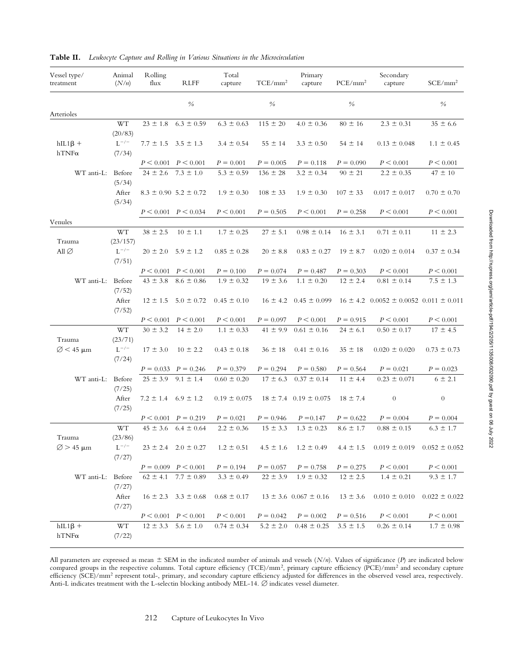| $\%$<br>$\%$<br>$\frac{o}{o}$<br>$\%$<br>Arterioles<br><b>WT</b><br>$23 \pm 1.8$<br>$6.3 \pm 0.63$<br>$115 \pm 20$<br>$80\,\pm\,16$<br>$35 \pm 6.6$<br>$6.3 \pm 0.59$<br>$4.0 \pm 0.36$<br>$2.3 \pm 0.31$<br>(20/83)<br>$L^{-/-}$<br>$hIL1\beta +$<br>$7.7 \pm 1.5$<br>$3.5 \pm 1.3$<br>$3.4 \pm 0.54$<br>$55 \pm 14$<br>$3.3 \pm 0.50$<br>$54 \pm 14$<br>$0.13 \pm 0.048$<br>$1.1 \pm 0.45$<br>$hTNF\alpha$<br>(7/34)<br>$P < 0.001$ $P < 0.001$<br>$P = 0.001$<br>$P = 0.005$<br>$P = 0.090$<br>P < 0.001<br>P < 0.001<br>$P = 0.118$<br>$24 \pm 2.6$<br>$5.3 \pm 0.59$<br>$136 \pm 28$<br>$3.2 \pm 0.34$<br>$90 \pm 21$<br>$47 \pm 10$<br>WT anti-L:<br>Before<br>$7.3 \pm 1.0$<br>$2.2 \pm 0.35$<br>(5/34)<br>After<br>$1.9 \pm 0.30$<br>$1.9 \pm 0.30$<br>$0.70 \pm 0.70$<br>$8.3 \pm 0.90$ 5.2 $\pm$ 0.72<br>$108 \pm 33$<br>$107 \pm 33$<br>$0.017 \pm 0.017$<br>(5/34)<br>$P \leq 0.001$<br>$P = 0.505$<br>$P \leq 0.001$<br>P < 0.001<br>P < 0.001<br>$P \leq 0.001$ $P \leq 0.034$<br>$P = 0.258$<br>Venules<br><b>WT</b><br>$38 \pm 2.5$<br>$10 \pm 1.1$<br>$1.7 \pm 0.25$<br>$27 \pm 5.1$<br>$0.98 \pm 0.14$<br>$16 \pm 3.1$<br>$0.71 \pm 0.11$<br>$11 \pm 2.3$<br>(23/157)<br>Trauma<br>$\rm L^{-/-}$<br>All $\varnothing$<br>$20 \pm 2.0$<br>$0.85 \pm 0.28$<br>$5.9 \pm 1.2$<br>$20 \pm 8.8$<br>$0.83 \pm 0.27$<br>$19 \pm 8.7$<br>$0.020 \pm 0.014$<br>$0.37 \pm 0.34$<br>(7/51)<br>$P \leq 0.001$<br>P < 0.001<br>$P = 0.100$<br>$P = 0.074$<br>$P = 0.487$<br>$P = 0.303$<br>P < 0.001<br>P < 0.001<br>$43 \pm 3.8$<br>$1.9 \pm 0.32$<br>$19 \pm 3.6$<br>$12 \pm 2.4$<br>$7.5 \pm 1.3$<br>Before<br>$8.6 \pm 0.86$<br>$1.1 \pm 0.20$<br>$0.81 \pm 0.14$<br>WT anti-L:<br>(7/52)<br>After<br>$16 \pm 4.2$ 0.0052 $\pm$ 0.0052 0.011 $\pm$ 0.011<br>$12 \pm 1.5$<br>$5.0 \pm 0.72$<br>$0.45 \pm 0.10$<br>$16 \pm 4.2$<br>$0.45 \pm 0.099$<br>(7/52)<br>P < 0.001<br>P < 0.001<br>P < 0.001<br>$P = 0.097$<br>P < 0.001<br>$P = 0.915$<br>P < 0.001<br>P < 0.001<br><b>WT</b><br>$30 \pm 3.2$<br>$14 \pm 2.0$<br>$1.1 \pm 0.33$<br>$41 \pm 9.9$<br>$0.61 \pm 0.16$<br>$24 \pm 6.1$<br>$0.50 \pm 0.17$<br>$17 \pm 4.5$<br>Trauma<br>(23/71)<br>$\rm L^{-/-}$<br>$\varnothing$ < 45 µm<br>$17 \pm 3.0$<br>$10 \pm 2.2$<br>$0.43 \pm 0.18$<br>$36 \pm 18$<br>$0.41 \pm 0.16$<br>$35 \pm 18$<br>$0.020 \pm 0.020$<br>$0.73 \pm 0.73$<br>(7/24)<br>$P = 0.033$<br>$P = 0.379$<br>$P = 0.294$<br>$P = 0.580$<br>$P = 0.564$<br>$P = 0.021$<br>$P = 0.023$<br>$P = 0.246$<br>Before<br>$25 \pm 3.9$<br>$9.1 \pm 1.4$<br>$0.60 \pm 0.20$<br>$17 \pm 6.3$<br>$0.37 \pm 0.14$<br>$11 \pm 4.4$<br>$0.23 \pm 0.071$<br>$6 \pm 2.1$<br>WT anti-L:<br>(7/25)<br>After<br>$7.2 \pm 1.4$<br>$\theta$<br>$\theta$<br>$6.9 \pm 1.2$<br>$0.19 \pm 0.075$<br>$18 \pm 7.4$ 0.19 $\pm$ 0.075<br>$18 \pm 7.4$<br>(7/25)<br>P < 0.001<br>$P = 0.021$<br>$P = 0.946$<br>$P = 0.147$<br>$P = 0.622$<br>$P = 0.004$<br>$P = 0.004$<br>$P = 0.219$<br><b>WT</b><br>$45 \pm 3.6$<br>$2.2 \pm 0.36$<br>$15 \pm 3.3$<br>$6.3 \pm 1.7$<br>$6.4 \pm 0.64$<br>$1.3 \pm 0.23$<br>$8.6 \pm 1.7$<br>$0.88 \pm 0.15$<br>(23/86)<br>Trauma<br>$L^{-/-}$<br>$\varnothing$ > 45 µm<br>$23 \pm 2.4$ $2.0 \pm 0.27$<br>$1.2 \pm 0.51$<br>$1.2 \pm 0.49$<br>$4.4 \pm 1.5$<br>$0.019 \pm 0.019$ $0.052 \pm 0.052$<br>$4.5 \pm 1.6$<br>(7/27)<br>$P = 0.009$ $P < 0.001$<br>$P = 0.194$<br>$P = 0.057$<br>$P = 0.275$<br>$P\leq 0.001$<br>P < 0.001<br>$P = 0.758$<br>$3.3 \pm 0.49$<br>$22 \pm 3.9$<br>$12 \pm 2.5$<br>$62 \pm 4.1$<br>$1.9 \pm 0.32$<br>$1.4 \pm 0.21$<br>$9.3 \pm 1.7$<br>WT anti-L:<br>Before<br>$7.7 \pm 0.89$<br>(7/27)<br>After<br>$0.010 \pm 0.010$<br>$16 \pm 2.3$ $3.3 \pm 0.68$<br>$0.68 \pm 0.17$<br>$13 \pm 3.6$ 0.067 $\pm$ 0.16<br>$13 \pm 3.6$<br>$0.022 \pm 0.022$<br>(7/27)<br>$P < 0.001$ $P < 0.001$<br>P < 0.001<br>$P = 0.042$<br>$P = 0.002$<br>$P = 0.516$<br>P < 0.001<br>P < 0.001 | Vessel type/<br>treatment | Animal<br>(N/n) | Total<br>Rolling<br>flux<br><b>RLFF</b><br>$TCE/mm^2$<br>capture |  | Primary<br>capture | $PCE/mm^2$    | Secondary<br>capture | $SCE/mm^2$    |                 |                |
|-----------------------------------------------------------------------------------------------------------------------------------------------------------------------------------------------------------------------------------------------------------------------------------------------------------------------------------------------------------------------------------------------------------------------------------------------------------------------------------------------------------------------------------------------------------------------------------------------------------------------------------------------------------------------------------------------------------------------------------------------------------------------------------------------------------------------------------------------------------------------------------------------------------------------------------------------------------------------------------------------------------------------------------------------------------------------------------------------------------------------------------------------------------------------------------------------------------------------------------------------------------------------------------------------------------------------------------------------------------------------------------------------------------------------------------------------------------------------------------------------------------------------------------------------------------------------------------------------------------------------------------------------------------------------------------------------------------------------------------------------------------------------------------------------------------------------------------------------------------------------------------------------------------------------------------------------------------------------------------------------------------------------------------------------------------------------------------------------------------------------------------------------------------------------------------------------------------------------------------------------------------------------------------------------------------------------------------------------------------------------------------------------------------------------------------------------------------------------------------------------------------------------------------------------------------------------------------------------------------------------------------------------------------------------------------------------------------------------------------------------------------------------------------------------------------------------------------------------------------------------------------------------------------------------------------------------------------------------------------------------------------------------------------------------------------------------------------------------------------------------------------------------------------------------------------------------------------------------------------------------------------------------------------------------------------------------------------------------------------------------------------------------------------------------------------------------------------------------------------------------------------------------------------------------------------------------------------------------------------------------------------------------------------------------------------------------------------------------------------------------------------------------------------------------------------------------------------------------------------------------------------------------|---------------------------|-----------------|------------------------------------------------------------------|--|--------------------|---------------|----------------------|---------------|-----------------|----------------|
|                                                                                                                                                                                                                                                                                                                                                                                                                                                                                                                                                                                                                                                                                                                                                                                                                                                                                                                                                                                                                                                                                                                                                                                                                                                                                                                                                                                                                                                                                                                                                                                                                                                                                                                                                                                                                                                                                                                                                                                                                                                                                                                                                                                                                                                                                                                                                                                                                                                                                                                                                                                                                                                                                                                                                                                                                                                                                                                                                                                                                                                                                                                                                                                                                                                                                                                                                                                                                                                                                                                                                                                                                                                                                                                                                                                                                                                                                               |                           |                 |                                                                  |  |                    |               |                      |               |                 |                |
|                                                                                                                                                                                                                                                                                                                                                                                                                                                                                                                                                                                                                                                                                                                                                                                                                                                                                                                                                                                                                                                                                                                                                                                                                                                                                                                                                                                                                                                                                                                                                                                                                                                                                                                                                                                                                                                                                                                                                                                                                                                                                                                                                                                                                                                                                                                                                                                                                                                                                                                                                                                                                                                                                                                                                                                                                                                                                                                                                                                                                                                                                                                                                                                                                                                                                                                                                                                                                                                                                                                                                                                                                                                                                                                                                                                                                                                                                               |                           |                 |                                                                  |  |                    |               |                      |               |                 |                |
|                                                                                                                                                                                                                                                                                                                                                                                                                                                                                                                                                                                                                                                                                                                                                                                                                                                                                                                                                                                                                                                                                                                                                                                                                                                                                                                                                                                                                                                                                                                                                                                                                                                                                                                                                                                                                                                                                                                                                                                                                                                                                                                                                                                                                                                                                                                                                                                                                                                                                                                                                                                                                                                                                                                                                                                                                                                                                                                                                                                                                                                                                                                                                                                                                                                                                                                                                                                                                                                                                                                                                                                                                                                                                                                                                                                                                                                                                               |                           |                 |                                                                  |  |                    |               |                      |               |                 |                |
|                                                                                                                                                                                                                                                                                                                                                                                                                                                                                                                                                                                                                                                                                                                                                                                                                                                                                                                                                                                                                                                                                                                                                                                                                                                                                                                                                                                                                                                                                                                                                                                                                                                                                                                                                                                                                                                                                                                                                                                                                                                                                                                                                                                                                                                                                                                                                                                                                                                                                                                                                                                                                                                                                                                                                                                                                                                                                                                                                                                                                                                                                                                                                                                                                                                                                                                                                                                                                                                                                                                                                                                                                                                                                                                                                                                                                                                                                               |                           |                 |                                                                  |  |                    |               |                      |               |                 |                |
|                                                                                                                                                                                                                                                                                                                                                                                                                                                                                                                                                                                                                                                                                                                                                                                                                                                                                                                                                                                                                                                                                                                                                                                                                                                                                                                                                                                                                                                                                                                                                                                                                                                                                                                                                                                                                                                                                                                                                                                                                                                                                                                                                                                                                                                                                                                                                                                                                                                                                                                                                                                                                                                                                                                                                                                                                                                                                                                                                                                                                                                                                                                                                                                                                                                                                                                                                                                                                                                                                                                                                                                                                                                                                                                                                                                                                                                                                               |                           |                 |                                                                  |  |                    |               |                      |               |                 |                |
|                                                                                                                                                                                                                                                                                                                                                                                                                                                                                                                                                                                                                                                                                                                                                                                                                                                                                                                                                                                                                                                                                                                                                                                                                                                                                                                                                                                                                                                                                                                                                                                                                                                                                                                                                                                                                                                                                                                                                                                                                                                                                                                                                                                                                                                                                                                                                                                                                                                                                                                                                                                                                                                                                                                                                                                                                                                                                                                                                                                                                                                                                                                                                                                                                                                                                                                                                                                                                                                                                                                                                                                                                                                                                                                                                                                                                                                                                               |                           |                 |                                                                  |  |                    |               |                      |               |                 |                |
|                                                                                                                                                                                                                                                                                                                                                                                                                                                                                                                                                                                                                                                                                                                                                                                                                                                                                                                                                                                                                                                                                                                                                                                                                                                                                                                                                                                                                                                                                                                                                                                                                                                                                                                                                                                                                                                                                                                                                                                                                                                                                                                                                                                                                                                                                                                                                                                                                                                                                                                                                                                                                                                                                                                                                                                                                                                                                                                                                                                                                                                                                                                                                                                                                                                                                                                                                                                                                                                                                                                                                                                                                                                                                                                                                                                                                                                                                               |                           |                 |                                                                  |  |                    |               |                      |               |                 |                |
|                                                                                                                                                                                                                                                                                                                                                                                                                                                                                                                                                                                                                                                                                                                                                                                                                                                                                                                                                                                                                                                                                                                                                                                                                                                                                                                                                                                                                                                                                                                                                                                                                                                                                                                                                                                                                                                                                                                                                                                                                                                                                                                                                                                                                                                                                                                                                                                                                                                                                                                                                                                                                                                                                                                                                                                                                                                                                                                                                                                                                                                                                                                                                                                                                                                                                                                                                                                                                                                                                                                                                                                                                                                                                                                                                                                                                                                                                               |                           |                 |                                                                  |  |                    |               |                      |               |                 |                |
|                                                                                                                                                                                                                                                                                                                                                                                                                                                                                                                                                                                                                                                                                                                                                                                                                                                                                                                                                                                                                                                                                                                                                                                                                                                                                                                                                                                                                                                                                                                                                                                                                                                                                                                                                                                                                                                                                                                                                                                                                                                                                                                                                                                                                                                                                                                                                                                                                                                                                                                                                                                                                                                                                                                                                                                                                                                                                                                                                                                                                                                                                                                                                                                                                                                                                                                                                                                                                                                                                                                                                                                                                                                                                                                                                                                                                                                                                               |                           |                 |                                                                  |  |                    |               |                      |               |                 |                |
|                                                                                                                                                                                                                                                                                                                                                                                                                                                                                                                                                                                                                                                                                                                                                                                                                                                                                                                                                                                                                                                                                                                                                                                                                                                                                                                                                                                                                                                                                                                                                                                                                                                                                                                                                                                                                                                                                                                                                                                                                                                                                                                                                                                                                                                                                                                                                                                                                                                                                                                                                                                                                                                                                                                                                                                                                                                                                                                                                                                                                                                                                                                                                                                                                                                                                                                                                                                                                                                                                                                                                                                                                                                                                                                                                                                                                                                                                               |                           |                 |                                                                  |  |                    |               |                      |               |                 |                |
|                                                                                                                                                                                                                                                                                                                                                                                                                                                                                                                                                                                                                                                                                                                                                                                                                                                                                                                                                                                                                                                                                                                                                                                                                                                                                                                                                                                                                                                                                                                                                                                                                                                                                                                                                                                                                                                                                                                                                                                                                                                                                                                                                                                                                                                                                                                                                                                                                                                                                                                                                                                                                                                                                                                                                                                                                                                                                                                                                                                                                                                                                                                                                                                                                                                                                                                                                                                                                                                                                                                                                                                                                                                                                                                                                                                                                                                                                               |                           |                 |                                                                  |  |                    |               |                      |               |                 |                |
|                                                                                                                                                                                                                                                                                                                                                                                                                                                                                                                                                                                                                                                                                                                                                                                                                                                                                                                                                                                                                                                                                                                                                                                                                                                                                                                                                                                                                                                                                                                                                                                                                                                                                                                                                                                                                                                                                                                                                                                                                                                                                                                                                                                                                                                                                                                                                                                                                                                                                                                                                                                                                                                                                                                                                                                                                                                                                                                                                                                                                                                                                                                                                                                                                                                                                                                                                                                                                                                                                                                                                                                                                                                                                                                                                                                                                                                                                               |                           |                 |                                                                  |  |                    |               |                      |               |                 |                |
|                                                                                                                                                                                                                                                                                                                                                                                                                                                                                                                                                                                                                                                                                                                                                                                                                                                                                                                                                                                                                                                                                                                                                                                                                                                                                                                                                                                                                                                                                                                                                                                                                                                                                                                                                                                                                                                                                                                                                                                                                                                                                                                                                                                                                                                                                                                                                                                                                                                                                                                                                                                                                                                                                                                                                                                                                                                                                                                                                                                                                                                                                                                                                                                                                                                                                                                                                                                                                                                                                                                                                                                                                                                                                                                                                                                                                                                                                               |                           |                 |                                                                  |  |                    |               |                      |               |                 |                |
|                                                                                                                                                                                                                                                                                                                                                                                                                                                                                                                                                                                                                                                                                                                                                                                                                                                                                                                                                                                                                                                                                                                                                                                                                                                                                                                                                                                                                                                                                                                                                                                                                                                                                                                                                                                                                                                                                                                                                                                                                                                                                                                                                                                                                                                                                                                                                                                                                                                                                                                                                                                                                                                                                                                                                                                                                                                                                                                                                                                                                                                                                                                                                                                                                                                                                                                                                                                                                                                                                                                                                                                                                                                                                                                                                                                                                                                                                               |                           |                 |                                                                  |  |                    |               |                      |               |                 |                |
|                                                                                                                                                                                                                                                                                                                                                                                                                                                                                                                                                                                                                                                                                                                                                                                                                                                                                                                                                                                                                                                                                                                                                                                                                                                                                                                                                                                                                                                                                                                                                                                                                                                                                                                                                                                                                                                                                                                                                                                                                                                                                                                                                                                                                                                                                                                                                                                                                                                                                                                                                                                                                                                                                                                                                                                                                                                                                                                                                                                                                                                                                                                                                                                                                                                                                                                                                                                                                                                                                                                                                                                                                                                                                                                                                                                                                                                                                               |                           |                 |                                                                  |  |                    |               |                      |               |                 |                |
|                                                                                                                                                                                                                                                                                                                                                                                                                                                                                                                                                                                                                                                                                                                                                                                                                                                                                                                                                                                                                                                                                                                                                                                                                                                                                                                                                                                                                                                                                                                                                                                                                                                                                                                                                                                                                                                                                                                                                                                                                                                                                                                                                                                                                                                                                                                                                                                                                                                                                                                                                                                                                                                                                                                                                                                                                                                                                                                                                                                                                                                                                                                                                                                                                                                                                                                                                                                                                                                                                                                                                                                                                                                                                                                                                                                                                                                                                               |                           |                 |                                                                  |  |                    |               |                      |               |                 |                |
|                                                                                                                                                                                                                                                                                                                                                                                                                                                                                                                                                                                                                                                                                                                                                                                                                                                                                                                                                                                                                                                                                                                                                                                                                                                                                                                                                                                                                                                                                                                                                                                                                                                                                                                                                                                                                                                                                                                                                                                                                                                                                                                                                                                                                                                                                                                                                                                                                                                                                                                                                                                                                                                                                                                                                                                                                                                                                                                                                                                                                                                                                                                                                                                                                                                                                                                                                                                                                                                                                                                                                                                                                                                                                                                                                                                                                                                                                               |                           |                 |                                                                  |  |                    |               |                      |               |                 |                |
|                                                                                                                                                                                                                                                                                                                                                                                                                                                                                                                                                                                                                                                                                                                                                                                                                                                                                                                                                                                                                                                                                                                                                                                                                                                                                                                                                                                                                                                                                                                                                                                                                                                                                                                                                                                                                                                                                                                                                                                                                                                                                                                                                                                                                                                                                                                                                                                                                                                                                                                                                                                                                                                                                                                                                                                                                                                                                                                                                                                                                                                                                                                                                                                                                                                                                                                                                                                                                                                                                                                                                                                                                                                                                                                                                                                                                                                                                               |                           |                 |                                                                  |  |                    |               |                      |               |                 |                |
|                                                                                                                                                                                                                                                                                                                                                                                                                                                                                                                                                                                                                                                                                                                                                                                                                                                                                                                                                                                                                                                                                                                                                                                                                                                                                                                                                                                                                                                                                                                                                                                                                                                                                                                                                                                                                                                                                                                                                                                                                                                                                                                                                                                                                                                                                                                                                                                                                                                                                                                                                                                                                                                                                                                                                                                                                                                                                                                                                                                                                                                                                                                                                                                                                                                                                                                                                                                                                                                                                                                                                                                                                                                                                                                                                                                                                                                                                               |                           |                 |                                                                  |  |                    |               |                      |               |                 |                |
|                                                                                                                                                                                                                                                                                                                                                                                                                                                                                                                                                                                                                                                                                                                                                                                                                                                                                                                                                                                                                                                                                                                                                                                                                                                                                                                                                                                                                                                                                                                                                                                                                                                                                                                                                                                                                                                                                                                                                                                                                                                                                                                                                                                                                                                                                                                                                                                                                                                                                                                                                                                                                                                                                                                                                                                                                                                                                                                                                                                                                                                                                                                                                                                                                                                                                                                                                                                                                                                                                                                                                                                                                                                                                                                                                                                                                                                                                               |                           |                 |                                                                  |  |                    |               |                      |               |                 |                |
|                                                                                                                                                                                                                                                                                                                                                                                                                                                                                                                                                                                                                                                                                                                                                                                                                                                                                                                                                                                                                                                                                                                                                                                                                                                                                                                                                                                                                                                                                                                                                                                                                                                                                                                                                                                                                                                                                                                                                                                                                                                                                                                                                                                                                                                                                                                                                                                                                                                                                                                                                                                                                                                                                                                                                                                                                                                                                                                                                                                                                                                                                                                                                                                                                                                                                                                                                                                                                                                                                                                                                                                                                                                                                                                                                                                                                                                                                               |                           |                 |                                                                  |  |                    |               |                      |               |                 |                |
|                                                                                                                                                                                                                                                                                                                                                                                                                                                                                                                                                                                                                                                                                                                                                                                                                                                                                                                                                                                                                                                                                                                                                                                                                                                                                                                                                                                                                                                                                                                                                                                                                                                                                                                                                                                                                                                                                                                                                                                                                                                                                                                                                                                                                                                                                                                                                                                                                                                                                                                                                                                                                                                                                                                                                                                                                                                                                                                                                                                                                                                                                                                                                                                                                                                                                                                                                                                                                                                                                                                                                                                                                                                                                                                                                                                                                                                                                               |                           |                 |                                                                  |  |                    |               |                      |               |                 |                |
|                                                                                                                                                                                                                                                                                                                                                                                                                                                                                                                                                                                                                                                                                                                                                                                                                                                                                                                                                                                                                                                                                                                                                                                                                                                                                                                                                                                                                                                                                                                                                                                                                                                                                                                                                                                                                                                                                                                                                                                                                                                                                                                                                                                                                                                                                                                                                                                                                                                                                                                                                                                                                                                                                                                                                                                                                                                                                                                                                                                                                                                                                                                                                                                                                                                                                                                                                                                                                                                                                                                                                                                                                                                                                                                                                                                                                                                                                               |                           |                 |                                                                  |  |                    |               |                      |               |                 |                |
|                                                                                                                                                                                                                                                                                                                                                                                                                                                                                                                                                                                                                                                                                                                                                                                                                                                                                                                                                                                                                                                                                                                                                                                                                                                                                                                                                                                                                                                                                                                                                                                                                                                                                                                                                                                                                                                                                                                                                                                                                                                                                                                                                                                                                                                                                                                                                                                                                                                                                                                                                                                                                                                                                                                                                                                                                                                                                                                                                                                                                                                                                                                                                                                                                                                                                                                                                                                                                                                                                                                                                                                                                                                                                                                                                                                                                                                                                               |                           |                 |                                                                  |  |                    |               |                      |               |                 |                |
|                                                                                                                                                                                                                                                                                                                                                                                                                                                                                                                                                                                                                                                                                                                                                                                                                                                                                                                                                                                                                                                                                                                                                                                                                                                                                                                                                                                                                                                                                                                                                                                                                                                                                                                                                                                                                                                                                                                                                                                                                                                                                                                                                                                                                                                                                                                                                                                                                                                                                                                                                                                                                                                                                                                                                                                                                                                                                                                                                                                                                                                                                                                                                                                                                                                                                                                                                                                                                                                                                                                                                                                                                                                                                                                                                                                                                                                                                               |                           |                 |                                                                  |  |                    |               |                      |               |                 |                |
|                                                                                                                                                                                                                                                                                                                                                                                                                                                                                                                                                                                                                                                                                                                                                                                                                                                                                                                                                                                                                                                                                                                                                                                                                                                                                                                                                                                                                                                                                                                                                                                                                                                                                                                                                                                                                                                                                                                                                                                                                                                                                                                                                                                                                                                                                                                                                                                                                                                                                                                                                                                                                                                                                                                                                                                                                                                                                                                                                                                                                                                                                                                                                                                                                                                                                                                                                                                                                                                                                                                                                                                                                                                                                                                                                                                                                                                                                               |                           |                 |                                                                  |  |                    |               |                      |               |                 |                |
|                                                                                                                                                                                                                                                                                                                                                                                                                                                                                                                                                                                                                                                                                                                                                                                                                                                                                                                                                                                                                                                                                                                                                                                                                                                                                                                                                                                                                                                                                                                                                                                                                                                                                                                                                                                                                                                                                                                                                                                                                                                                                                                                                                                                                                                                                                                                                                                                                                                                                                                                                                                                                                                                                                                                                                                                                                                                                                                                                                                                                                                                                                                                                                                                                                                                                                                                                                                                                                                                                                                                                                                                                                                                                                                                                                                                                                                                                               |                           |                 |                                                                  |  |                    |               |                      |               |                 |                |
|                                                                                                                                                                                                                                                                                                                                                                                                                                                                                                                                                                                                                                                                                                                                                                                                                                                                                                                                                                                                                                                                                                                                                                                                                                                                                                                                                                                                                                                                                                                                                                                                                                                                                                                                                                                                                                                                                                                                                                                                                                                                                                                                                                                                                                                                                                                                                                                                                                                                                                                                                                                                                                                                                                                                                                                                                                                                                                                                                                                                                                                                                                                                                                                                                                                                                                                                                                                                                                                                                                                                                                                                                                                                                                                                                                                                                                                                                               |                           |                 |                                                                  |  |                    |               |                      |               |                 |                |
|                                                                                                                                                                                                                                                                                                                                                                                                                                                                                                                                                                                                                                                                                                                                                                                                                                                                                                                                                                                                                                                                                                                                                                                                                                                                                                                                                                                                                                                                                                                                                                                                                                                                                                                                                                                                                                                                                                                                                                                                                                                                                                                                                                                                                                                                                                                                                                                                                                                                                                                                                                                                                                                                                                                                                                                                                                                                                                                                                                                                                                                                                                                                                                                                                                                                                                                                                                                                                                                                                                                                                                                                                                                                                                                                                                                                                                                                                               |                           |                 |                                                                  |  |                    |               |                      |               |                 |                |
|                                                                                                                                                                                                                                                                                                                                                                                                                                                                                                                                                                                                                                                                                                                                                                                                                                                                                                                                                                                                                                                                                                                                                                                                                                                                                                                                                                                                                                                                                                                                                                                                                                                                                                                                                                                                                                                                                                                                                                                                                                                                                                                                                                                                                                                                                                                                                                                                                                                                                                                                                                                                                                                                                                                                                                                                                                                                                                                                                                                                                                                                                                                                                                                                                                                                                                                                                                                                                                                                                                                                                                                                                                                                                                                                                                                                                                                                                               |                           |                 |                                                                  |  |                    |               |                      |               |                 |                |
|                                                                                                                                                                                                                                                                                                                                                                                                                                                                                                                                                                                                                                                                                                                                                                                                                                                                                                                                                                                                                                                                                                                                                                                                                                                                                                                                                                                                                                                                                                                                                                                                                                                                                                                                                                                                                                                                                                                                                                                                                                                                                                                                                                                                                                                                                                                                                                                                                                                                                                                                                                                                                                                                                                                                                                                                                                                                                                                                                                                                                                                                                                                                                                                                                                                                                                                                                                                                                                                                                                                                                                                                                                                                                                                                                                                                                                                                                               |                           |                 |                                                                  |  |                    |               |                      |               |                 |                |
|                                                                                                                                                                                                                                                                                                                                                                                                                                                                                                                                                                                                                                                                                                                                                                                                                                                                                                                                                                                                                                                                                                                                                                                                                                                                                                                                                                                                                                                                                                                                                                                                                                                                                                                                                                                                                                                                                                                                                                                                                                                                                                                                                                                                                                                                                                                                                                                                                                                                                                                                                                                                                                                                                                                                                                                                                                                                                                                                                                                                                                                                                                                                                                                                                                                                                                                                                                                                                                                                                                                                                                                                                                                                                                                                                                                                                                                                                               |                           |                 |                                                                  |  |                    |               |                      |               |                 |                |
|                                                                                                                                                                                                                                                                                                                                                                                                                                                                                                                                                                                                                                                                                                                                                                                                                                                                                                                                                                                                                                                                                                                                                                                                                                                                                                                                                                                                                                                                                                                                                                                                                                                                                                                                                                                                                                                                                                                                                                                                                                                                                                                                                                                                                                                                                                                                                                                                                                                                                                                                                                                                                                                                                                                                                                                                                                                                                                                                                                                                                                                                                                                                                                                                                                                                                                                                                                                                                                                                                                                                                                                                                                                                                                                                                                                                                                                                                               |                           |                 |                                                                  |  |                    |               |                      |               |                 |                |
|                                                                                                                                                                                                                                                                                                                                                                                                                                                                                                                                                                                                                                                                                                                                                                                                                                                                                                                                                                                                                                                                                                                                                                                                                                                                                                                                                                                                                                                                                                                                                                                                                                                                                                                                                                                                                                                                                                                                                                                                                                                                                                                                                                                                                                                                                                                                                                                                                                                                                                                                                                                                                                                                                                                                                                                                                                                                                                                                                                                                                                                                                                                                                                                                                                                                                                                                                                                                                                                                                                                                                                                                                                                                                                                                                                                                                                                                                               |                           |                 |                                                                  |  |                    |               |                      |               |                 |                |
|                                                                                                                                                                                                                                                                                                                                                                                                                                                                                                                                                                                                                                                                                                                                                                                                                                                                                                                                                                                                                                                                                                                                                                                                                                                                                                                                                                                                                                                                                                                                                                                                                                                                                                                                                                                                                                                                                                                                                                                                                                                                                                                                                                                                                                                                                                                                                                                                                                                                                                                                                                                                                                                                                                                                                                                                                                                                                                                                                                                                                                                                                                                                                                                                                                                                                                                                                                                                                                                                                                                                                                                                                                                                                                                                                                                                                                                                                               |                           |                 |                                                                  |  |                    |               |                      |               |                 |                |
|                                                                                                                                                                                                                                                                                                                                                                                                                                                                                                                                                                                                                                                                                                                                                                                                                                                                                                                                                                                                                                                                                                                                                                                                                                                                                                                                                                                                                                                                                                                                                                                                                                                                                                                                                                                                                                                                                                                                                                                                                                                                                                                                                                                                                                                                                                                                                                                                                                                                                                                                                                                                                                                                                                                                                                                                                                                                                                                                                                                                                                                                                                                                                                                                                                                                                                                                                                                                                                                                                                                                                                                                                                                                                                                                                                                                                                                                                               |                           |                 |                                                                  |  |                    |               |                      |               |                 |                |
|                                                                                                                                                                                                                                                                                                                                                                                                                                                                                                                                                                                                                                                                                                                                                                                                                                                                                                                                                                                                                                                                                                                                                                                                                                                                                                                                                                                                                                                                                                                                                                                                                                                                                                                                                                                                                                                                                                                                                                                                                                                                                                                                                                                                                                                                                                                                                                                                                                                                                                                                                                                                                                                                                                                                                                                                                                                                                                                                                                                                                                                                                                                                                                                                                                                                                                                                                                                                                                                                                                                                                                                                                                                                                                                                                                                                                                                                                               |                           |                 |                                                                  |  |                    |               |                      |               |                 |                |
|                                                                                                                                                                                                                                                                                                                                                                                                                                                                                                                                                                                                                                                                                                                                                                                                                                                                                                                                                                                                                                                                                                                                                                                                                                                                                                                                                                                                                                                                                                                                                                                                                                                                                                                                                                                                                                                                                                                                                                                                                                                                                                                                                                                                                                                                                                                                                                                                                                                                                                                                                                                                                                                                                                                                                                                                                                                                                                                                                                                                                                                                                                                                                                                                                                                                                                                                                                                                                                                                                                                                                                                                                                                                                                                                                                                                                                                                                               |                           |                 |                                                                  |  |                    |               |                      |               |                 |                |
|                                                                                                                                                                                                                                                                                                                                                                                                                                                                                                                                                                                                                                                                                                                                                                                                                                                                                                                                                                                                                                                                                                                                                                                                                                                                                                                                                                                                                                                                                                                                                                                                                                                                                                                                                                                                                                                                                                                                                                                                                                                                                                                                                                                                                                                                                                                                                                                                                                                                                                                                                                                                                                                                                                                                                                                                                                                                                                                                                                                                                                                                                                                                                                                                                                                                                                                                                                                                                                                                                                                                                                                                                                                                                                                                                                                                                                                                                               |                           |                 |                                                                  |  |                    |               |                      |               |                 |                |
|                                                                                                                                                                                                                                                                                                                                                                                                                                                                                                                                                                                                                                                                                                                                                                                                                                                                                                                                                                                                                                                                                                                                                                                                                                                                                                                                                                                                                                                                                                                                                                                                                                                                                                                                                                                                                                                                                                                                                                                                                                                                                                                                                                                                                                                                                                                                                                                                                                                                                                                                                                                                                                                                                                                                                                                                                                                                                                                                                                                                                                                                                                                                                                                                                                                                                                                                                                                                                                                                                                                                                                                                                                                                                                                                                                                                                                                                                               |                           |                 |                                                                  |  |                    |               |                      |               |                 |                |
|                                                                                                                                                                                                                                                                                                                                                                                                                                                                                                                                                                                                                                                                                                                                                                                                                                                                                                                                                                                                                                                                                                                                                                                                                                                                                                                                                                                                                                                                                                                                                                                                                                                                                                                                                                                                                                                                                                                                                                                                                                                                                                                                                                                                                                                                                                                                                                                                                                                                                                                                                                                                                                                                                                                                                                                                                                                                                                                                                                                                                                                                                                                                                                                                                                                                                                                                                                                                                                                                                                                                                                                                                                                                                                                                                                                                                                                                                               |                           |                 |                                                                  |  |                    |               |                      |               |                 |                |
| $12 \pm 3.3$ 5.6 $\pm 1.0$                                                                                                                                                                                                                                                                                                                                                                                                                                                                                                                                                                                                                                                                                                                                                                                                                                                                                                                                                                                                                                                                                                                                                                                                                                                                                                                                                                                                                                                                                                                                                                                                                                                                                                                                                                                                                                                                                                                                                                                                                                                                                                                                                                                                                                                                                                                                                                                                                                                                                                                                                                                                                                                                                                                                                                                                                                                                                                                                                                                                                                                                                                                                                                                                                                                                                                                                                                                                                                                                                                                                                                                                                                                                                                                                                                                                                                                                    | $hIL1\beta +$             | <b>WT</b>       |                                                                  |  | $0.74 \pm 0.34$    | $5.2 \pm 2.0$ | $0.48 \pm 0.25$      | $3.5 \pm 1.5$ | $0.26 \pm 0.14$ | $1.7 \pm 0.98$ |
| $hTNF\alpha$<br>(7/22)                                                                                                                                                                                                                                                                                                                                                                                                                                                                                                                                                                                                                                                                                                                                                                                                                                                                                                                                                                                                                                                                                                                                                                                                                                                                                                                                                                                                                                                                                                                                                                                                                                                                                                                                                                                                                                                                                                                                                                                                                                                                                                                                                                                                                                                                                                                                                                                                                                                                                                                                                                                                                                                                                                                                                                                                                                                                                                                                                                                                                                                                                                                                                                                                                                                                                                                                                                                                                                                                                                                                                                                                                                                                                                                                                                                                                                                                        |                           |                 |                                                                  |  |                    |               |                      |               |                 |                |

|  | Table II. Leukocyte Capture and Rolling in Various Situations in the Microcirculation |  |  |  |  |  |  |  |  |  |  |  |  |
|--|---------------------------------------------------------------------------------------|--|--|--|--|--|--|--|--|--|--|--|--|
|--|---------------------------------------------------------------------------------------|--|--|--|--|--|--|--|--|--|--|--|--|

All parameters are expressed as mean  $\pm$  SEM in the indicated number of animals and vessels (*N/n*). Values of significance (*P*) are indicated below compared groups in the respective columns. Total capture efficiency (TCE)/mm<sup>2</sup>, primary capture efficiency (PCE)/mm<sup>2</sup> and secondary capture efficiency (SCE)/mm<sup>2</sup> represent total-, primary, and secondary capture efficiency adjusted for differences in the observed vessel area, respectively. Anti-L indicates treatment with the L-selectin blocking antibody MEL-14.  $\varnothing$  indicates vessel diameter.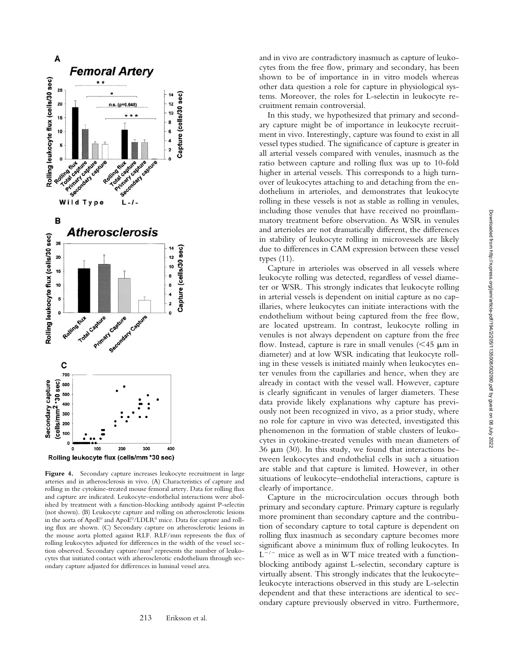

Figure 4. Secondary capture increases leukocyte recruitment in large arteries and in atherosclerosis in vivo. (A) Characteristics of capture and rolling in the cytokine-treated mouse femoral artery. Data for rolling flux and capture are indicated. Leukocyte–endothelial interactions were abolished by treatment with a function-blocking antibody against P-selectin (not shown). (B) Leukocyte capture and rolling on atherosclerotic lesions in the aorta of ApoE<sup>0</sup> and ApoE<sup>0</sup>/LDLR<sup>0</sup> mice. Data for capture and rolling flux are shown. (C) Secondary capture on atherosclerotic lesions in the mouse aorta plotted against RLF. RLF/mm represents the flux of rolling leukocytes adjusted for differences in the width of the vessel section observed. Secondary capture/mm2 represents the number of leukocytes that initiated contact with atherosclerotic endothelium through secondary capture adjusted for differences in luminal vessel area.

and in vivo are contradictory inasmuch as capture of leukocytes from the free flow, primary and secondary, has been shown to be of importance in in vitro models whereas other data question a role for capture in physiological systems. Moreover, the roles for L-selectin in leukocyte recruitment remain controversial.

In this study, we hypothesized that primary and secondary capture might be of importance in leukocyte recruitment in vivo. Interestingly, capture was found to exist in all vessel types studied. The significance of capture is greater in all arterial vessels compared with venules, inasmuch as the ratio between capture and rolling flux was up to 10-fold higher in arterial vessels. This corresponds to a high turnover of leukocytes attaching to and detaching from the endothelium in arterioles, and demonstrates that leukocyte rolling in these vessels is not as stable as rolling in venules, including those venules that have received no proinflammatory treatment before observation. As WSR in venules and arterioles are not dramatically different, the differences in stability of leukocyte rolling in microvessels are likely due to differences in CAM expression between these vessel types (11).

Capture in arterioles was observed in all vessels where leukocyte rolling was detected, regardless of vessel diameter or WSR. This strongly indicates that leukocyte rolling in arterial vessels is dependent on initial capture as no capillaries, where leukocytes can initiate interactions with the endothelium without being captured from the free flow, are located upstream. In contrast, leukocyte rolling in venules is not always dependent on capture from the free flow. Instead, capture is rare in small venules  $\leq 45 \mu m$  in diameter) and at low WSR indicating that leukocyte rolling in these vessels is initiated mainly when leukocytes enter venules from the capillaries and hence, when they are already in contact with the vessel wall. However, capture is clearly significant in venules of larger diameters. These data provide likely explanations why capture has previously not been recognized in vivo, as a prior study, where no role for capture in vivo was detected, investigated this phenomenon in the formation of stable clusters of leukocytes in cytokine-treated venules with mean diameters of 36  $\mu$ m (30). In this study, we found that interactions between leukocytes and endothelial cells in such a situation are stable and that capture is limited. However, in other situations of leukocyte–endothelial interactions, capture is clearly of importance.

Capture in the microcirculation occurs through both primary and secondary capture. Primary capture is regularly more prominent than secondary capture and the contribution of secondary capture to total capture is dependent on rolling flux inasmuch as secondary capture becomes more significant above a minimum flux of rolling leukocytes. In  $L^{-/-}$  mice as well as in WT mice treated with a functionblocking antibody against L-selectin, secondary capture is virtually absent. This strongly indicates that the leukocyte– leukocyte interactions observed in this study are L-selectin dependent and that these interactions are identical to secondary capture previously observed in vitro. Furthermore,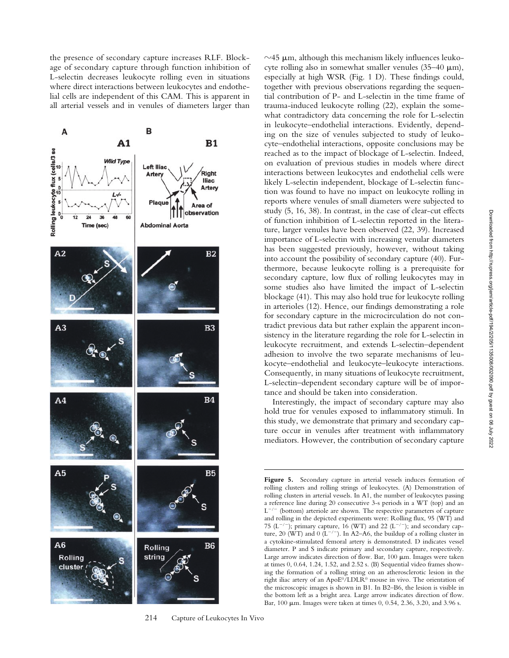the presence of secondary capture increases RLF. Blockage of secondary capture through function inhibition of L-selectin decreases leukocyte rolling even in situations where direct interactions between leukocytes and endothelial cells are independent of this CAM. This is apparent in all arterial vessels and in venules of diameters larger than



 $\sim$ 45  $\mu$ m, although this mechanism likely influences leukocyte rolling also in somewhat smaller venules  $(35-40 \mu m)$ , especially at high WSR (Fig. 1 D). These findings could, together with previous observations regarding the sequential contribution of P- and L-selectin in the time frame of trauma-induced leukocyte rolling (22), explain the somewhat contradictory data concerning the role for L-selectin in leukocyte–endothelial interactions. Evidently, depending on the size of venules subjected to study of leukocyte–endothelial interactions, opposite conclusions may be reached as to the impact of blockage of L-selectin. Indeed, on evaluation of previous studies in models where direct interactions between leukocytes and endothelial cells were likely L-selectin independent, blockage of L-selectin function was found to have no impact on leukocyte rolling in reports where venules of small diameters were subjected to study (5, 16, 38). In contrast, in the case of clear-cut effects of function inhibition of L-selectin reported in the literature, larger venules have been observed (22, 39). Increased importance of L-selectin with increasing venular diameters has been suggested previously, however, without taking into account the possibility of secondary capture (40). Furthermore, because leukocyte rolling is a prerequisite for secondary capture, low flux of rolling leukocytes may in some studies also have limited the impact of L-selectin blockage (41). This may also hold true for leukocyte rolling in arterioles (12). Hence, our findings demonstrating a role for secondary capture in the microcirculation do not contradict previous data but rather explain the apparent inconsistency in the literature regarding the role for L-selectin in leukocyte recruitment, and extends L-selectin–dependent adhesion to involve the two separate mechanisms of leukocyte–endothelial and leukocyte–leukocyte interactions. Consequently, in many situations of leukocyte recruitment, L-selectin–dependent secondary capture will be of importance and should be taken into consideration.

Interestingly, the impact of secondary capture may also hold true for venules exposed to inflammatory stimuli. In this study, we demonstrate that primary and secondary capture occur in venules after treatment with inflammatory mediators. However, the contribution of secondary capture

Figure 5. Secondary capture in arterial vessels induces formation of rolling clusters and rolling strings of leukocytes. (A) Demonstration of rolling clusters in arterial vessels. In A1, the number of leukocytes passing a reference line during 20 consecutive 3-s periods in a WT (top) and an  $L^{-/-}$  (bottom) arteriole are shown. The respective parameters of capture and rolling in the depicted experiments were: Rolling flux, 95 (WT) and 75 (L<sup>-/-</sup>); primary capture, 16 (WT) and 22 (L<sup>-/-</sup>); and secondary capture, 20 (WT) and 0 ( $L^{-/-}$ ). In A2–A6, the buildup of a rolling cluster in a cytokine-stimulated femoral artery is demonstrated. D indicates vessel diameter. P and S indicate primary and secondary capture, respectively. Large arrow indicates direction of flow. Bar,  $100 \mu m$ . Images were taken at times 0, 0.64, 1.24, 1.52, and 2.52 s. (B) Sequential video frames showing the formation of a rolling string on an atherosclerotic lesion in the right iliac artery of an ApoE<sup>0</sup>/LDLR<sup>0</sup> mouse in vivo. The orientation of the microscopic images is shown in B1. In B2–B6, the lesion is visible in the bottom left as a bright area. Large arrow indicates direction of flow. Bar, 100  $\mu$ m. Images were taken at times 0, 0.54, 2.36, 3.20, and 3.96 s.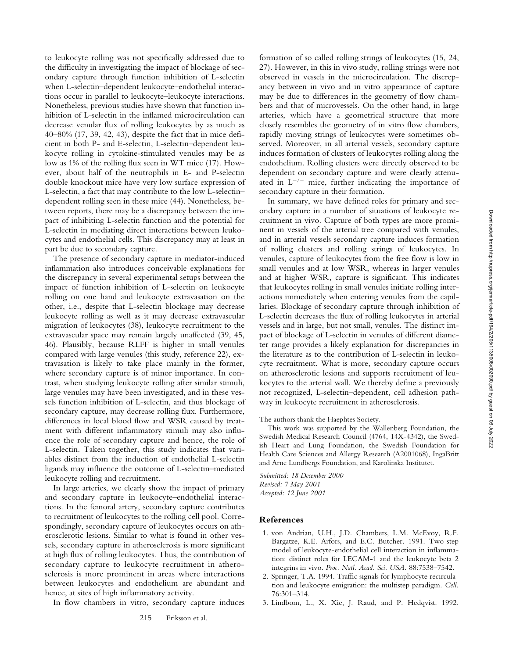to leukocyte rolling was not specifically addressed due to the difficulty in investigating the impact of blockage of secondary capture through function inhibition of L-selectin when L-selectin–dependent leukocyte–endothelial interactions occur in parallel to leukocyte–leukocyte interactions. Nonetheless, previous studies have shown that function inhibition of L-selectin in the inflamed microcirculation can decrease venular flux of rolling leukocytes by as much as 40–80% (17, 39, 42, 43), despite the fact that in mice deficient in both P- and E-selectin, L-selectin–dependent leukocyte rolling in cytokine-stimulated venules may be as low as 1% of the rolling flux seen in WT mice (17). However, about half of the neutrophils in E- and P-selectin double knockout mice have very low surface expression of L-selectin, a fact that may contribute to the low L-selectin– dependent rolling seen in these mice (44). Nonetheless, between reports, there may be a discrepancy between the impact of inhibiting L-selectin function and the potential for L-selectin in mediating direct interactions between leukocytes and endothelial cells. This discrepancy may at least in part be due to secondary capture.

The presence of secondary capture in mediator-induced inflammation also introduces conceivable explanations for the discrepancy in several experimental setups between the impact of function inhibition of L-selectin on leukocyte rolling on one hand and leukocyte extravasation on the other, i.e., despite that L-selectin blockage may decrease leukocyte rolling as well as it may decrease extravascular migration of leukocytes (38), leukocyte recruitment to the extravascular space may remain largely unaffected (39, 45, 46). Plausibly, because RLFF is higher in small venules compared with large venules (this study, reference 22), extravasation is likely to take place mainly in the former, where secondary capture is of minor importance. In contrast, when studying leukocyte rolling after similar stimuli, large venules may have been investigated, and in these vessels function inhibition of L-selectin, and thus blockage of secondary capture, may decrease rolling flux. Furthermore, differences in local blood flow and WSR caused by treatment with different inflammatory stimuli may also influence the role of secondary capture and hence, the role of L-selectin. Taken together, this study indicates that variables distinct from the induction of endothelial L-selectin ligands may influence the outcome of L-selectin–mediated leukocyte rolling and recruitment.

In large arteries, we clearly show the impact of primary and secondary capture in leukocyte–endothelial interactions. In the femoral artery, secondary capture contributes to recruitment of leukocytes to the rolling cell pool. Correspondingly, secondary capture of leukocytes occurs on atherosclerotic lesions. Similar to what is found in other vessels, secondary capture in atherosclerosis is more significant at high flux of rolling leukocytes. Thus, the contribution of secondary capture to leukocyte recruitment in atherosclerosis is more prominent in areas where interactions between leukocytes and endothelium are abundant and hence, at sites of high inflammatory activity.

In flow chambers in vitro, secondary capture induces

formation of so called rolling strings of leukocytes (15, 24, 27). However, in this in vivo study, rolling strings were not observed in vessels in the microcirculation. The discrepancy between in vivo and in vitro appearance of capture may be due to differences in the geometry of flow chambers and that of microvessels. On the other hand, in large arteries, which have a geometrical structure that more closely resembles the geometry of in vitro flow chambers, rapidly moving strings of leukocytes were sometimes observed. Moreover, in all arterial vessels, secondary capture induces formation of clusters of leukocytes rolling along the endothelium. Rolling clusters were directly observed to be dependent on secondary capture and were clearly attenuated in  $L^{-/-}$  mice, further indicating the importance of secondary capture in their formation.

In summary, we have defined roles for primary and secondary capture in a number of situations of leukocyte recruitment in vivo. Capture of both types are more prominent in vessels of the arterial tree compared with venules, and in arterial vessels secondary capture induces formation of rolling clusters and rolling strings of leukocytes. In venules, capture of leukocytes from the free flow is low in small venules and at low WSR, whereas in larger venules and at higher WSR, capture is significant. This indicates that leukocytes rolling in small venules initiate rolling interactions immediately when entering venules from the capillaries. Blockage of secondary capture through inhibition of L-selectin decreases the flux of rolling leukocytes in arterial vessels and in large, but not small, venules. The distinct impact of blockage of L-selectin in venules of different diameter range provides a likely explanation for discrepancies in the literature as to the contribution of L-selectin in leukocyte recruitment. What is more, secondary capture occurs on atherosclerotic lesions and supports recruitment of leukocytes to the arterial wall. We thereby define a previously not recognized, L-selectin–dependent, cell adhesion pathway in leukocyte recruitment in atherosclerosis.

#### The authors thank the Haephtes Society.

This work was supported by the Wallenberg Foundation, the Swedish Medical Research Council (4764, 14X-4342), the Swedish Heart and Lung Foundation, the Swedish Foundation for Health Care Sciences and Allergy Research (A2001068), IngaBritt and Arne Lundbergs Foundation, and Karolinska Institutet.

*Submitted: 18 December 2000 Revised: 7 May 2001 Accepted: 12 June 2001*

## **References**

- 1. von Andrian, U.H., J.D. Chambers, L.M. McEvoy, R.F. Bargatze, K.E. Arfors, and E.C. Butcher. 1991. Two-step model of leukocyte-endothelial cell interaction in inflammation: distinct roles for LECAM-1 and the leukocyte beta 2 integrins in vivo. *Proc. Natl. Acad. Sci. USA.* 88:7538–7542.
- 2. Springer, T.A. 1994. Traffic signals for lymphocyte recirculation and leukocyte emigration: the multistep paradigm. *Cell.* 76:301–314.
- 3. Lindbom, L., X. Xie, J. Raud, and P. Hedqvist. 1992.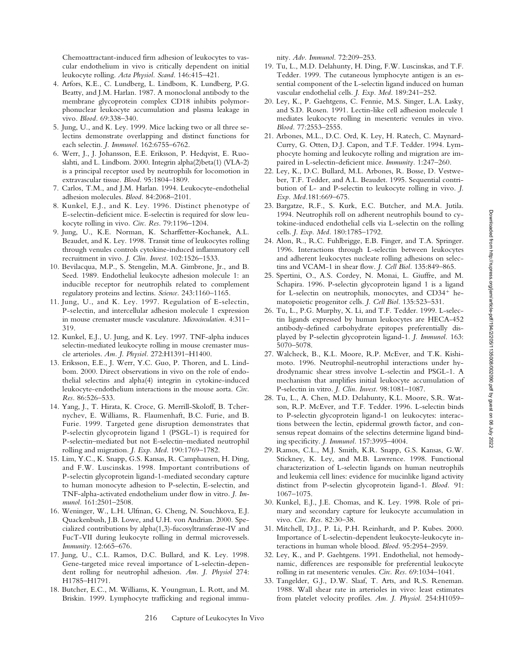Chemoattractant-induced firm adhesion of leukocytes to vascular endothelium in vivo is critically dependent on initial leukocyte rolling. *Acta Physiol. Scand*. 146:415–421.

- 4. Arfors, K.E., C. Lundberg, L. Lindbom, K. Lundberg, P.G. Beatty, and J.M. Harlan. 1987. A monoclonal antibody to the membrane glycoprotein complex CD18 inhibits polymorphonuclear leukocyte accumulation and plasma leakage in vivo. *Blood.* 69:338–340.
- 5. Jung, U., and K. Ley. 1999. Mice lacking two or all three selectins demonstrate overlapping and distinct functions for each selectin. *J. Immunol.* 162:6755–6762.
- 6. Werr, J., J. Johansson, E.E. Eriksson, P. Hedqvist, E. Ruoslahti, and L. Lindbom. 2000. Integrin alpha(2)beta(1) (VLA-2) is a principal receptor used by neutrophils for locomotion in extravascular tissue. *Blood.* 95:1804–1809.
- 7. Carlos, T.M., and J.M. Harlan. 1994. Leukocyte-endothelial adhesion molecules. *Blood.* 84:2068–2101.
- 8. Kunkel, E.J., and K. Ley. 1996. Distinct phenotype of E-selectin-deficient mice. E-selectin is required for slow leukocyte rolling in vivo. *Circ. Res.* 79:1196–1204.
- 9. Jung, U., K.E. Norman, K. Scharffetter-Kochanek, A.L. Beaudet, and K. Ley. 1998. Transit time of leukocytes rolling through venules controls cytokine-induced inflammatory cell recruitment in vivo. *J. Clin. Invest.* 102:1526–1533.
- 10. Bevilacqua, M.P., S. Stengelin, M.A. Gimbrone, Jr., and B. Seed. 1989. Endothelial leukocyte adhesion molecule 1: an inducible receptor for neutrophils related to complement regulatory proteins and lectins. *Science.* 243:1160–1165.
- 11. Jung, U., and K. Ley. 1997. Regulation of E-selectin, P-selectin, and intercellular adhesion molecule 1 expression in mouse cremaster muscle vasculature. *Microcirculation.* 4:311– 319.
- 12. Kunkel, E.J., U. Jung, and K. Ley. 1997. TNF-alpha induces selectin-mediated leukocyte rolling in mouse cremaster muscle arterioles. *Am. J. Physiol.* 272:H1391–H1400.
- 13. Eriksson, E.E., J. Werr, Y.C. Guo, P. Thoren, and L. Lindbom. 2000. Direct observations in vivo on the role of endothelial selectins and alpha(4) integrin in cytokine-induced leukocyte-endothelium interactions in the mouse aorta. *Circ. Res.* 86:526–533.
- 14. Yang, J., T. Hirata, K. Croce, G. Merrill-Skoloff, B. Tchernychev, E. Williams, R. Flaumenhaft, B.C. Furie, and B. Furie. 1999. Targeted gene disruption demonstrates that P-selectin glycoprotein ligand 1 (PSGL-1) is required for P-selectin–mediated but not E-selectin–mediated neutrophil rolling and migration. *J. Exp. Med*. 190:1769–1782.
- 15. Lim, Y.C., K. Snapp, G.S. Kansas, R. Camphausen, H. Ding, and F.W. Luscinskas. 1998. Important contributions of P-selectin glycoprotein ligand-1-mediated secondary capture to human monocyte adhesion to P-selectin, E-selectin, and TNF-alpha-activated endothelium under flow in vitro. *J. Immunol.* 161:2501–2508.
- 16. Weninger, W., L.H. Ulfman, G. Cheng, N. Souchkova, E.J. Quackenbush, J.B. Lowe, and U.H. von Andrian. 2000. Specialized contributions by alpha(1,3)-fucosyltransferase-IV and FucT-VII during leukocyte rolling in dermal microvessels. *Immunity.* 12:665–676.
- 17. Jung, U., C.L. Ramos, D.C. Bullard, and K. Ley. 1998. Gene-targeted mice reveal importance of L-selectin-dependent rolling for neutrophil adhesion. *Am. J. Physiol* 274: H1785–H1791.
- 18. Butcher, E.C., M. Williams, K. Youngman, L. Rott, and M. Briskin. 1999. Lymphocyte trafficking and regional immu-

nity. *Adv. Immunol.* 72:209–253.

- 19. Tu, L., M.D. Delahunty, H. Ding, F.W. Luscinskas, and T.F. Tedder. 1999. The cutaneous lymphocyte antigen is an essential component of the L-selectin ligand induced on human vascular endothelial cells. *J. Exp. Med*. 189:241–252.
- 20. Ley, K., P. Gaehtgens, C. Fennie, M.S. Singer, L.A. Lasky, and S.D. Rosen. 1991. Lectin-like cell adhesion molecule 1 mediates leukocyte rolling in mesenteric venules in vivo. *Blood.* 77:2553–2555.
- 21. Arbones, M.L., D.C. Ord, K. Ley, H. Ratech, C. Maynard-Curry, G. Otten, D.J. Capon, and T.F. Tedder. 1994. Lymphocyte homing and leukocyte rolling and migration are impaired in L-selectin-deficient mice. *Immunity.* 1:247–260.
- 22. Ley, K., D.C. Bullard, M.L. Arbones, R. Bosse, D. Vestweber, T.F. Tedder, and A.L. Beaudet. 1995. Sequential contribution of L- and P-selectin to leukocyte rolling in vivo. *J. Exp. Med.*181:669–675.
- 23. Bargatze, R.F., S. Kurk, E.C. Butcher, and M.A. Jutila. 1994. Neutrophils roll on adherent neutrophils bound to cytokine-induced endothelial cells via L-selectin on the rolling cells. *J. Exp. Med.* 180:1785–1792.
- 24. Alon, R., R.C. Fuhlbrigge, E.B. Finger, and T.A. Springer. 1996. Interactions through L-selectin between leukocytes and adherent leukocytes nucleate rolling adhesions on selectins and VCAM-1 in shear flow. *J. Cell Biol.* 135:849–865.
- 25. Spertini, O., A.S. Cordey, N. Monai, L. Giuffre, and M. Schapira. 1996. P-selectin glycoprotein ligand 1 is a ligand for L-selectin on neutrophils, monocytes, and  $CD34<sup>+</sup>$  hematopoietic progenitor cells. *J. Cell Biol.* 135:523–531.
- 26. Tu, L., P.G. Murphy, X. Li, and T.F. Tedder. 1999. L-selectin ligands expressed by human leukocytes are HECA-452 antibody-defined carbohydrate epitopes preferentially displayed by P-selectin glycoprotein ligand-1. *J. Immunol.* 163: 5070–5078.
- 27. Walcheck, B., K.L. Moore, R.P. McEver, and T.K. Kishimoto. 1996. Neutrophil-neutrophil interactions under hydrodynamic shear stress involve L-selectin and PSGL-1. A mechanism that amplifies initial leukocyte accumulation of P-selectin in vitro. *J. Clin. Invest.* 98:1081–1087.
- 28. Tu, L., A. Chen, M.D. Delahunty, K.L. Moore, S.R. Watson, R.P. McEver, and T.F. Tedder. 1996. L-selectin binds to P-selectin glycoprotein ligand-1 on leukocytes: interactions between the lectin, epidermal growth factor, and consensus repeat domains of the selectins determine ligand binding specificity. *J. Immunol.* 157:3995–4004.
- 29. Ramos, C.L., M.J. Smith, K.R. Snapp, G.S. Kansas, G.W. Stickney, K. Ley, and M.B. Lawrence. 1998. Functional characterization of L-selectin ligands on human neutrophils and leukemia cell lines: evidence for mucinlike ligand activity distinct from P-selectin glycoprotein ligand-1. *Blood.* 91: 1067–1075.
- 30. Kunkel, E.J., J.E. Chomas, and K. Ley. 1998. Role of primary and secondary capture for leukocyte accumulation in vivo. *Circ. Res.* 82:30–38.
- 31. Mitchell, D.J., P. Li, P.H. Reinhardt, and P. Kubes. 2000. Importance of L-selectin-dependent leukocyte-leukocyte interactions in human whole blood. *Blood.* 95:2954–2959.
- 32. Ley, K., and P. Gaehtgens. 1991. Endothelial, not hemodynamic, differences are responsible for preferential leukocyte rolling in rat mesenteric venules. *Circ. Res.* 69:1034–1041.
- 33. Tangelder, G.J., D.W. Slaaf, T. Arts, and R.S. Reneman. 1988. Wall shear rate in arterioles in vivo: least estimates from platelet velocity profiles. *Am. J. Physiol.* 254:H1059–